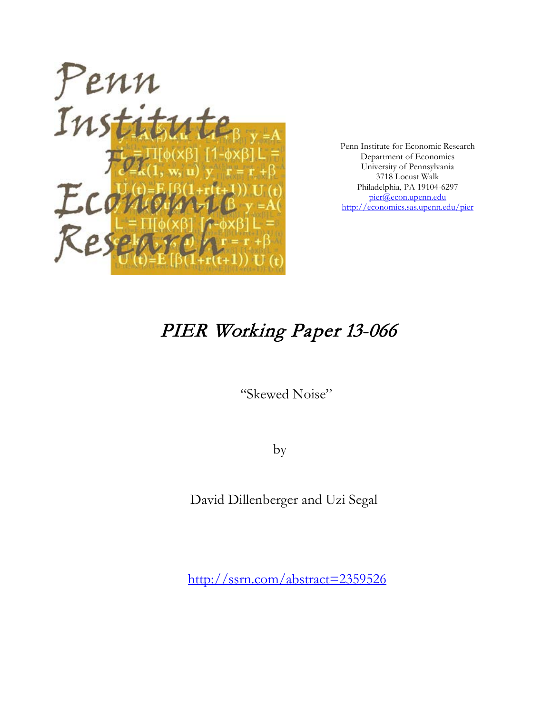

Penn Institute for Economic Research Department of Economics University of Pennsylvania 3718 Locust Walk Philadelphia, PA 19104-6297 [pier@econ.upenn.edu](mailto:pier@econ.upenn.edu) <http://economics.sas.upenn.edu/pier>

# PIER Working Paper 13-066

"Skewed Noise"

by

David Dillenberger and Uzi Segal

[http://ssrn.com/abstract=2](http://ssrn.com/abstract_id=)359526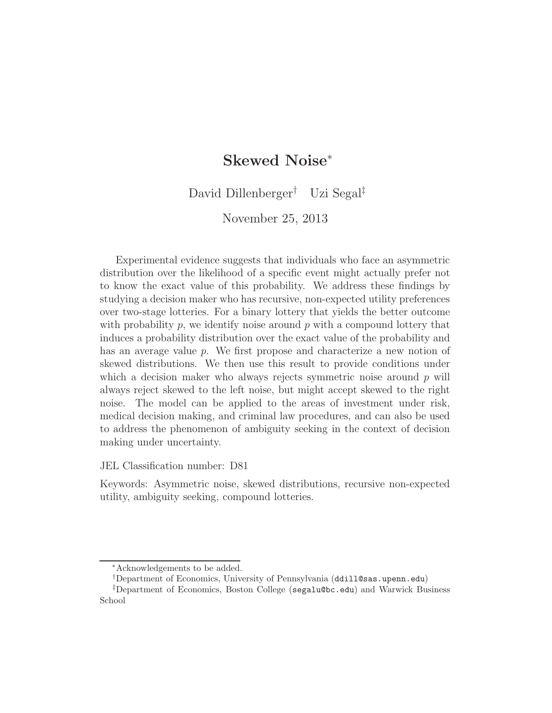# Skewed Noise<sup>∗</sup>

David Dillenberger† Uzi Segal‡

November 25, 2013

Experimental evidence suggests that individuals who face an asymmetric distribution over the likelihood of a specific event might actually prefer not to know the exact value of this probability. We address these findings by studying a decision maker who has recursive, non-expected utility preferences over two-stage lotteries. For a binary lottery that yields the better outcome with probability  $p$ , we identify noise around  $p$  with a compound lottery that induces a probability distribution over the exact value of the probability and has an average value p. We first propose and characterize a new notion of skewed distributions. We then use this result to provide conditions under which a decision maker who always rejects symmetric noise around  $p$  will always reject skewed to the left noise, but might accept skewed to the right noise. The model can be applied to the areas of investment under risk, medical decision making, and criminal law procedures, and can also be used to address the phenomenon of ambiguity seeking in the context of decision making under uncertainty.

JEL Classification number: D81

Keywords: Asymmetric noise, skewed distributions, recursive non-expected utility, ambiguity seeking, compound lotteries.

<sup>∗</sup>Acknowledgements to be added.

<sup>†</sup>Department of Economics, University of Pennsylvania (ddill@sas.upenn.edu)

<sup>‡</sup>Department of Economics, Boston College (segalu@bc.edu) and Warwick Business School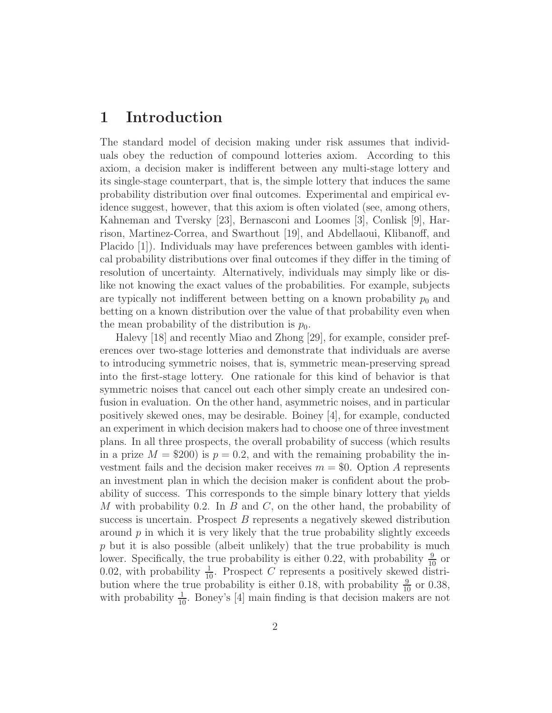### 1 Introduction

The standard model of decision making under risk assumes that individuals obey the reduction of compound lotteries axiom. According to this axiom, a decision maker is indifferent between any multi-stage lottery and its single-stage counterpart, that is, the simple lottery that induces the same probability distribution over final outcomes. Experimental and empirical evidence suggest, however, that this axiom is often violated (see, among others, Kahneman and Tversky [23], Bernasconi and Loomes [3], Conlisk [9], Harrison, Martinez-Correa, and Swarthout [19], and Abdellaoui, Klibanoff, and Placido [1]). Individuals may have preferences between gambles with identical probability distributions over final outcomes if they differ in the timing of resolution of uncertainty. Alternatively, individuals may simply like or dislike not knowing the exact values of the probabilities. For example, subjects are typically not indifferent between betting on a known probability  $p_0$  and betting on a known distribution over the value of that probability even when the mean probability of the distribution is  $p_0$ .

Halevy [18] and recently Miao and Zhong [29], for example, consider preferences over two-stage lotteries and demonstrate that individuals are averse to introducing symmetric noises, that is, symmetric mean-preserving spread into the first-stage lottery. One rationale for this kind of behavior is that symmetric noises that cancel out each other simply create an undesired confusion in evaluation. On the other hand, asymmetric noises, and in particular positively skewed ones, may be desirable. Boiney [4], for example, conducted an experiment in which decision makers had to choose one of three investment plans. In all three prospects, the overall probability of success (which results in a prize  $M = $200$  is  $p = 0.2$ , and with the remaining probability the investment fails and the decision maker receives  $m = $0$ . Option A represents an investment plan in which the decision maker is confident about the probability of success. This corresponds to the simple binary lottery that yields M with probability 0.2. In  $B$  and  $C$ , on the other hand, the probability of success is uncertain. Prospect B represents a negatively skewed distribution around  $p$  in which it is very likely that the true probability slightly exceeds p but it is also possible (albeit unlikely) that the true probability is much lower. Specifically, the true probability is either 0.22, with probability  $\frac{9}{10}$  or 0.02, with probability  $\frac{1}{10}$ . Prospect C represents a positively skewed distribution where the true probability is either 0.18, with probability  $\frac{9}{10}$  or 0.38, with probability  $\frac{1}{10}$ . Boney's [4] main finding is that decision makers are not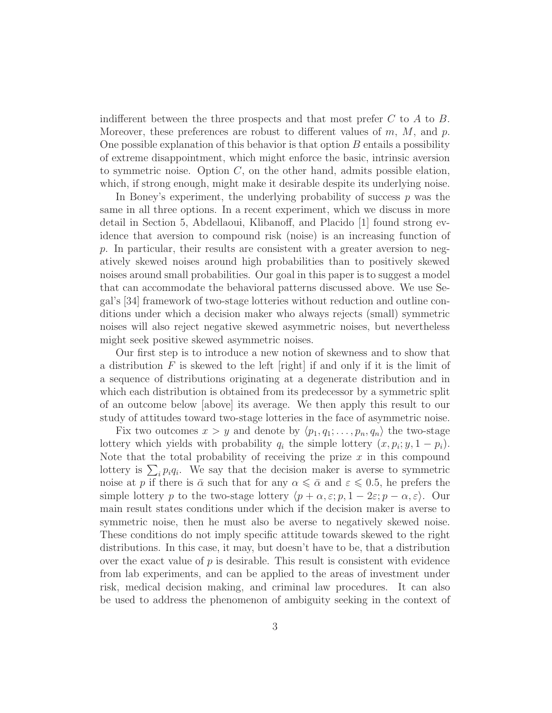indifferent between the three prospects and that most prefer  $C$  to  $A$  to  $B$ . Moreover, these preferences are robust to different values of  $m, M$ , and  $p$ . One possible explanation of this behavior is that option  $B$  entails a possibility of extreme disappointment, which might enforce the basic, intrinsic aversion to symmetric noise. Option  $C$ , on the other hand, admits possible elation, which, if strong enough, might make it desirable despite its underlying noise.

In Boney's experiment, the underlying probability of success  $p$  was the same in all three options. In a recent experiment, which we discuss in more detail in Section 5, Abdellaoui, Klibanoff, and Placido [1] found strong evidence that aversion to compound risk (noise) is an increasing function of p. In particular, their results are consistent with a greater aversion to negatively skewed noises around high probabilities than to positively skewed noises around small probabilities. Our goal in this paper is to suggest a model that can accommodate the behavioral patterns discussed above. We use Segal's [34] framework of two-stage lotteries without reduction and outline conditions under which a decision maker who always rejects (small) symmetric noises will also reject negative skewed asymmetric noises, but nevertheless might seek positive skewed asymmetric noises.

Our first step is to introduce a new notion of skewness and to show that a distribution  $F$  is skewed to the left [right] if and only if it is the limit of a sequence of distributions originating at a degenerate distribution and in which each distribution is obtained from its predecessor by a symmetric split of an outcome below [above] its average. We then apply this result to our study of attitudes toward two-stage lotteries in the face of asymmetric noise.

Fix two outcomes  $x > y$  and denote by  $\langle p_1, q_1; \ldots, p_n, q_n \rangle$  the two-stage lottery which yields with probability  $q_i$  the simple lottery  $(x, p_i; y, 1 - p_i)$ . Note that the total probability of receiving the prize  $x$  in this compound lottery is  $\sum_i p_i q_i$ . We say that the decision maker is averse to symmetric noise at p if there is  $\bar{\alpha}$  such that for any  $\alpha \leq \bar{\alpha}$  and  $\varepsilon \leq 0.5$ , he prefers the simple lottery p to the two-stage lottery  $\langle p + \alpha, \varepsilon; p, 1 - 2\varepsilon; p - \alpha, \varepsilon \rangle$ . Our main result states conditions under which if the decision maker is averse to symmetric noise, then he must also be averse to negatively skewed noise. These conditions do not imply specific attitude towards skewed to the right distributions. In this case, it may, but doesn't have to be, that a distribution over the exact value of  $p$  is desirable. This result is consistent with evidence from lab experiments, and can be applied to the areas of investment under risk, medical decision making, and criminal law procedures. It can also be used to address the phenomenon of ambiguity seeking in the context of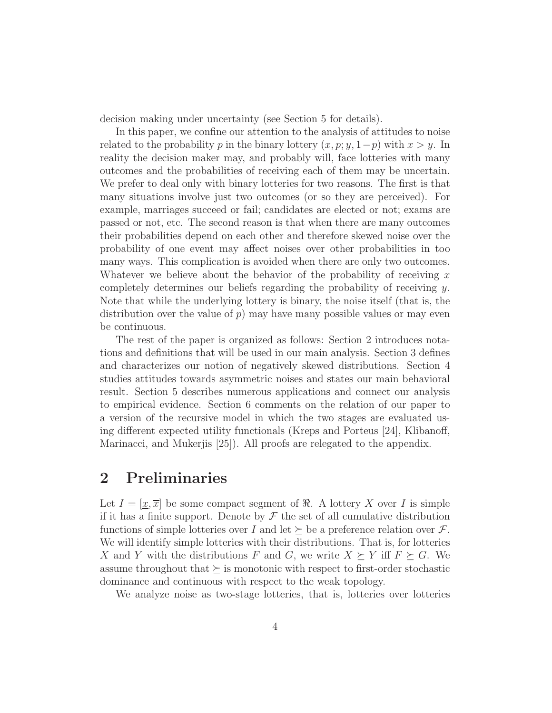decision making under uncertainty (see Section 5 for details).

In this paper, we confine our attention to the analysis of attitudes to noise related to the probability p in the binary lottery  $(x, p; y, 1-p)$  with  $x > y$ . In reality the decision maker may, and probably will, face lotteries with many outcomes and the probabilities of receiving each of them may be uncertain. We prefer to deal only with binary lotteries for two reasons. The first is that many situations involve just two outcomes (or so they are perceived). For example, marriages succeed or fail; candidates are elected or not; exams are passed or not, etc. The second reason is that when there are many outcomes their probabilities depend on each other and therefore skewed noise over the probability of one event may affect noises over other probabilities in too many ways. This complication is avoided when there are only two outcomes. Whatever we believe about the behavior of the probability of receiving  $x$ completely determines our beliefs regarding the probability of receiving  $y$ . Note that while the underlying lottery is binary, the noise itself (that is, the distribution over the value of  $p$ ) may have many possible values or may even be continuous.

The rest of the paper is organized as follows: Section 2 introduces notations and definitions that will be used in our main analysis. Section 3 defines and characterizes our notion of negatively skewed distributions. Section 4 studies attitudes towards asymmetric noises and states our main behavioral result. Section 5 describes numerous applications and connect our analysis to empirical evidence. Section 6 comments on the relation of our paper to a version of the recursive model in which the two stages are evaluated using different expected utility functionals (Kreps and Porteus [24], Klibanoff, Marinacci, and Mukerjis [25]). All proofs are relegated to the appendix.

# 2 Preliminaries

Let  $I = [x, \overline{x}]$  be some compact segment of  $\Re$ . A lottery X over I is simple if it has a finite support. Denote by  $\mathcal F$  the set of all cumulative distribution functions of simple lotteries over I and let  $\succeq$  be a preference relation over F. We will identify simple lotteries with their distributions. That is, for lotteries X and Y with the distributions F and G, we write  $X \succeq Y$  iff  $F \succeq G$ . We assume throughout that  $\succeq$  is monotonic with respect to first-order stochastic dominance and continuous with respect to the weak topology.

We analyze noise as two-stage lotteries, that is, lotteries over lotteries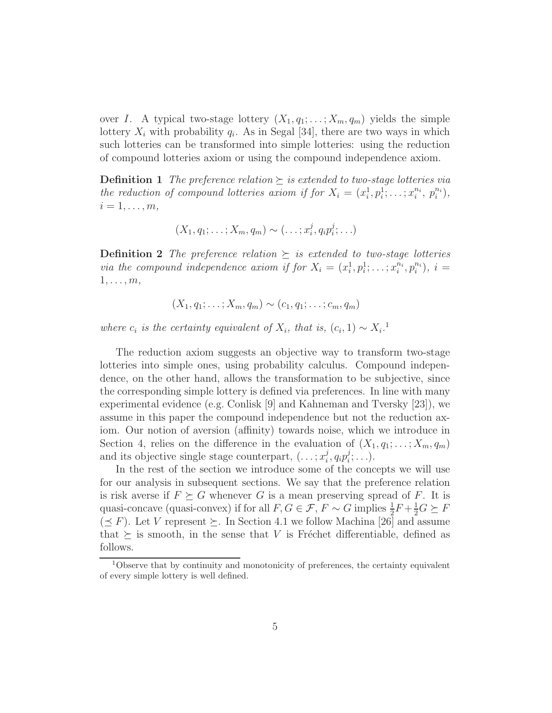over I. A typical two-stage lottery  $(X_1, q_1; \ldots; X_m, q_m)$  yields the simple lottery  $X_i$  with probability  $q_i$ . As in Segal [34], there are two ways in which such lotteries can be transformed into simple lotteries: using the reduction of compound lotteries axiom or using the compound independence axiom.

**Definition 1** *The preference relation*  $\succeq$  *is extended to two-stage lotteries via the reduction of compound lotteries axiom if for*  $X_i = (x_i^1, p_i^1; \ldots; x_i^{n_i}, p_i^{n_i}),$  $i=1,\ldots,m,$ 

$$
(X_1,q_1;\ldots;X_m,q_m)\sim(\ldots;x_i^j,q_ip_i^j;\ldots)
$$

**Definition 2** *The preference relation*  $\succeq$  *is extended to two-stage lotteries via the compound independence axiom if for*  $X_i = (x_i^1, p_i^1; \ldots; x_i^{n_i}, p_i^{n_i}), i =$  $1, \ldots, m$ 

$$
(X_1,q_1;\ldots;X_m,q_m)\sim(c_1,q_1;\ldots;c_m,q_m)
$$

*where*  $c_i$  *is the certainty equivalent of*  $X_i$ *, that is,*  $(c_i, 1) \sim X_i$ <sup>1</sup>

The reduction axiom suggests an objective way to transform two-stage lotteries into simple ones, using probability calculus. Compound independence, on the other hand, allows the transformation to be subjective, since the corresponding simple lottery is defined via preferences. In line with many experimental evidence (e.g. Conlisk [9] and Kahneman and Tversky [23]), we assume in this paper the compound independence but not the reduction axiom. Our notion of aversion (affinity) towards noise, which we introduce in Section 4, relies on the difference in the evaluation of  $(X_1, q_1; \ldots; X_m, q_m)$ and its objective single stage counterpart,  $(\ldots; x_i^j)$  $_i^j,q_ip_i^j$  $i^j; \ldots$ ).

In the rest of the section we introduce some of the concepts we will use for our analysis in subsequent sections. We say that the preference relation is risk averse if  $F \succeq G$  whenever G is a mean preserving spread of F. It is quasi-concave (quasi-convex) if for all  $F, G \in \mathcal{F}, F \sim G$  implies  $\frac{1}{2}F + \frac{1}{2}G \succeq F$  $(\leq F)$ . Let V represent  $\succeq$ . In Section 4.1 we follow Machina [26] and assume that  $\succeq$  is smooth, in the sense that V is Fréchet differentiable, defined as follows.

<sup>1</sup>Observe that by continuity and monotonicity of preferences, the certainty equivalent of every simple lottery is well defined.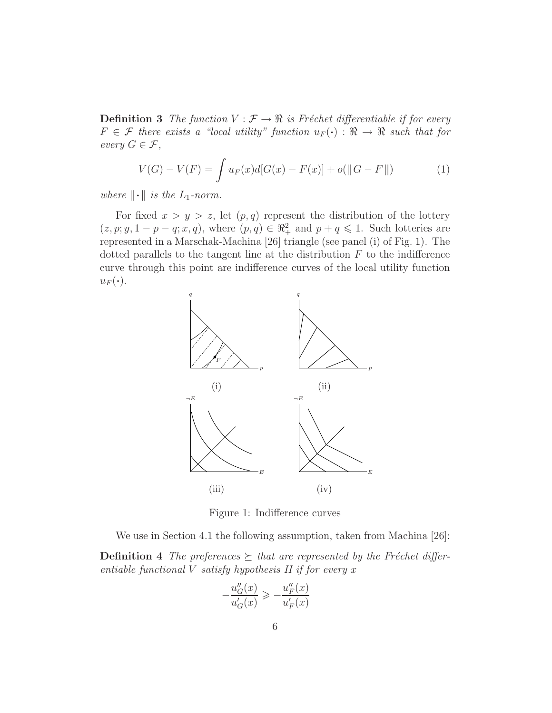**Definition 3** *The function*  $V : \mathcal{F} \to \mathbb{R}$  *is Fréchet differentiable if for every*  $F \in \mathcal{F}$  there exists a "local utility" function  $u_F(\cdot) : \mathbb{R} \to \mathbb{R}$  such that for *every*  $G \in \mathcal{F}$ *,* 

$$
V(G) - V(F) = \int u_F(x)d[G(x) - F(x)] + o(||G - F||)
$$
 (1)

*where*  $\|\cdot\|$  *is the* L<sub>1</sub>-norm.

For fixed  $x > y > z$ , let  $(p, q)$  represent the distribution of the lottery  $(z, p; y, 1-p-q; x, q)$ , where  $(p, q) \in \mathbb{R}^2_+$  and  $p+q \leq 1$ . Such lotteries are represented in a Marschak-Machina [26] triangle (see panel (i) of Fig. 1). The dotted parallels to the tangent line at the distribution  $F$  to the indifference curve through this point are indifference curves of the local utility function  $u_F(\cdot)$ .



Figure 1: Indifference curves

We use in Section 4.1 the following assumption, taken from Machina [26]:

**Definition 4** The preferences  $\succeq$  that are represented by the Fréchet differ*entiable functional* V *satisfy hypothesis II if for every* x

$$
-\frac{u_G''(x)}{u_G'(x)} \geqslant -\frac{u_F''(x)}{u_F'(x)}
$$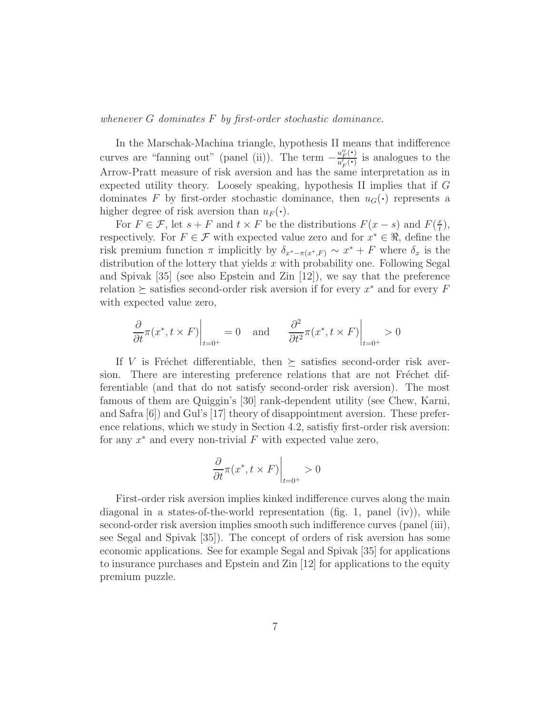*whenever* G *dominates* F *by first-order stochastic dominance.*

In the Marschak-Machina triangle, hypothesis II means that indifference curves are "fanning out" (panel (ii)). The term  $-\frac{u''_F(\cdot)}{u'_F(\cdot)}$  $\frac{u_F(\cdot)}{u_F'(\cdot)}$  is analogues to the Arrow-Pratt measure of risk aversion and has the same interpretation as in expected utility theory. Loosely speaking, hypothesis II implies that if G dominates F by first-order stochastic dominance, then  $u_G(\cdot)$  represents a higher degree of risk aversion than  $u_F(\cdot)$ .

For  $F \in \mathcal{F}$ , let  $s + F$  and  $t \times F$  be the distributions  $F(x - s)$  and  $F(\frac{x}{t})$  $(\frac{x}{t}),$ respectively. For  $F \in \mathcal{F}$  with expected value zero and for  $x^* \in \Re$ , define the risk premium function  $\pi$  implicitly by  $\delta_{x^*-\pi(x^*,F)} \sim x^* + F$  where  $\delta_x$  is the distribution of the lottery that yields x with probability one. Following Segal and Spivak [35] (see also Epstein and Zin [12]), we say that the preference relation  $\succeq$  satisfies second-order risk aversion if for every  $x^*$  and for every  $F$ with expected value zero,

$$
\left. \frac{\partial}{\partial t} \pi(x^*, t \times F) \right|_{t=0^+} = 0 \quad \text{and} \quad \left. \frac{\partial^2}{\partial t^2} \pi(x^*, t \times F) \right|_{t=0^+} > 0
$$

If V is Fréchet differentiable, then  $\succeq$  satisfies second-order risk aversion. There are interesting preference relations that are not Fréchet differentiable (and that do not satisfy second-order risk aversion). The most famous of them are Quiggin's [30] rank-dependent utility (see Chew, Karni, and Safra [6]) and Gul's [17] theory of disappointment aversion. These preference relations, which we study in Section 4.2, satisfiy first-order risk aversion: for any  $x^*$  and every non-trivial  $F$  with expected value zero,

$$
\left. \frac{\partial}{\partial t} \pi(x^*, t \times F) \right|_{t=0^+} > 0
$$

First-order risk aversion implies kinked indifference curves along the main diagonal in a states-of-the-world representation (fig. 1, panel (iv)), while second-order risk aversion implies smooth such indifference curves (panel (iii), see Segal and Spivak [35]). The concept of orders of risk aversion has some economic applications. See for example Segal and Spivak [35] for applications to insurance purchases and Epstein and Zin [12] for applications to the equity premium puzzle.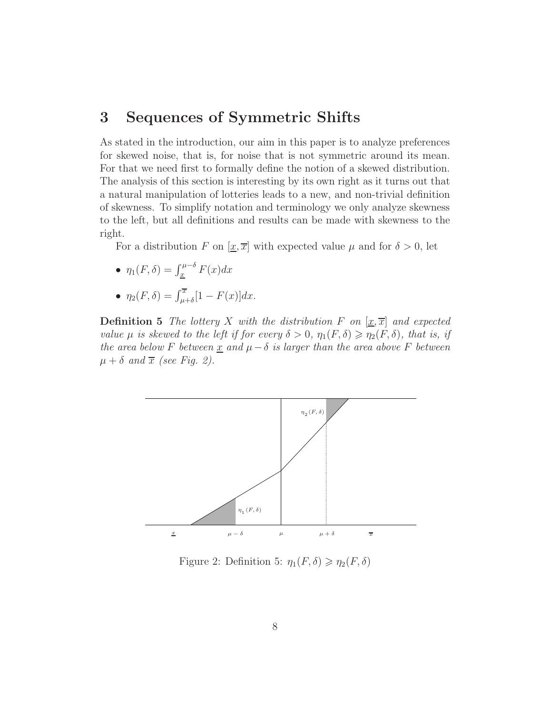# 3 Sequences of Symmetric Shifts

As stated in the introduction, our aim in this paper is to analyze preferences for skewed noise, that is, for noise that is not symmetric around its mean. For that we need first to formally define the notion of a skewed distribution. The analysis of this section is interesting by its own right as it turns out that a natural manipulation of lotteries leads to a new, and non-trivial definition of skewness. To simplify notation and terminology we only analyze skewness to the left, but all definitions and results can be made with skewness to the right.

For a distribution F on  $[\underline{x}, \overline{x}]$  with expected value  $\mu$  and for  $\delta > 0$ , let

- $\eta_1(F,\delta) = \int_{\underline{x}}^{\mu-\delta} F(x) dx$
- $\eta_2(F,\delta) = \int_{\mu+\delta}^{\overline{x}} [1 F(x)] dx.$

**Definition 5** The lottery X with the distribution F on  $[\underline{x}, \overline{x}]$  and expected *value*  $\mu$  *is skewed to the left if for every*  $\delta > 0$ ,  $\eta_1(F, \delta) \geq \eta_2(F, \delta)$ , that is, if *the area below* F *between*  $\underline{x}$  *and*  $\mu - \delta$  *is larger than the area above* F *between*  $\mu + \delta$  and  $\overline{x}$  *(see Fig. 2).* 



Figure 2: Definition 5:  $\eta_1(F,\delta) \geq \eta_2(F,\delta)$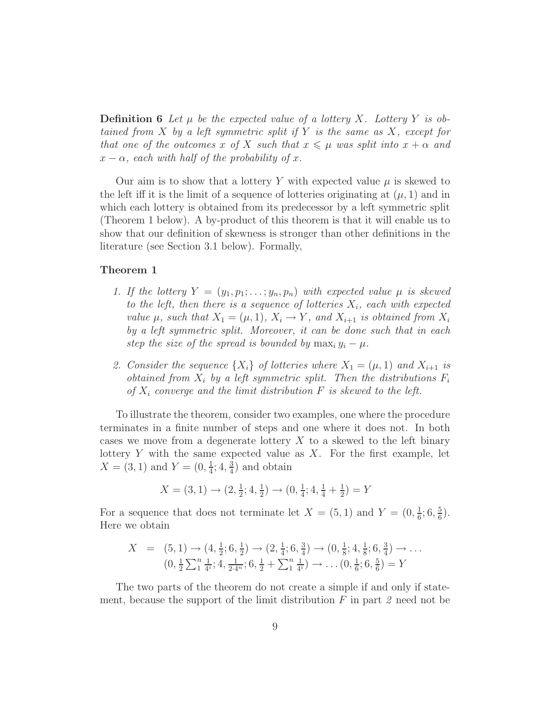**Definition 6** Let  $\mu$  be the expected value of a lottery X. Lottery Y is ob*tained from* X *by a left symmetric split if* Y *is the same as* X*, except for that one of the outcomes* x of X such that  $x \leq \mu$  was split into  $x + \alpha$  and  $x - \alpha$ *, each with half of the probability of x.* 

Our aim is to show that a lottery Y with expected value  $\mu$  is skewed to the left iff it is the limit of a sequence of lotteries originating at  $(\mu, 1)$  and in which each lottery is obtained from its predecessor by a left symmetric split (Theorem 1 below). A by-product of this theorem is that it will enable us to show that our definition of skewness is stronger than other definitions in the literature (see Section 3.1 below). Formally,

#### Theorem 1

- *1. If the lottery*  $Y = (y_1, p_1; \ldots; y_n, p_n)$  *with expected value*  $\mu$  *is skewed to the left, then there is a sequence of lotteries*  $X_i$ *, each with expected value*  $\mu$ *, such that*  $X_1 = (\mu, 1)$ *,*  $X_i \to Y$ *, and*  $X_{i+1}$  *is obtained from*  $X_i$ *by a left symmetric split. Moreover, it can be done such that in each step the size of the spread is bounded by*  $\max_i y_i - \mu$ .
- 2. Consider the sequence  $\{X_i\}$  of lotteries where  $X_1 = (\mu, 1)$  and  $X_{i+1}$  is *obtained from*  $X_i$  *by a left symmetric split. Then the distributions*  $F_i$ *of* X<sup>i</sup> *converge and the limit distribution* F *is skewed to the left.*

To illustrate the theorem, consider two examples, one where the procedure terminates in a finite number of steps and one where it does not. In both cases we move from a degenerate lottery  $X$  to a skewed to the left binary lottery  $Y$  with the same expected value as  $X$ . For the first example, let  $X = (3, 1)$  and  $Y = (0, \frac{1}{4})$  $\frac{1}{4}$ ; 4,  $\frac{3}{4}$  $\frac{3}{4}$ ) and obtain

$$
X = (3, 1) \rightarrow (2, \frac{1}{2}; 4, \frac{1}{2}) \rightarrow (0, \frac{1}{4}; 4, \frac{1}{4} + \frac{1}{2}) = Y
$$

For a sequence that does not terminate let  $X = (5,1)$  and  $Y = (0,\frac{1}{6})$  $\frac{1}{6}$ ; 6,  $\frac{5}{6}$  $\frac{5}{6}$ . Here we obtain

$$
X = (5, 1) \rightarrow (4, \frac{1}{2}; 6, \frac{1}{2}) \rightarrow (2, \frac{1}{4}; 6, \frac{3}{4}) \rightarrow (0, \frac{1}{8}; 4, \frac{1}{8}; 6, \frac{3}{4}) \rightarrow \dots
$$
  

$$
(0, \frac{1}{2} \sum_{1}^{n} \frac{1}{4^i}; 4, \frac{1}{2 \cdot 4^n}; 6, \frac{1}{2} + \sum_{1}^{n} \frac{1}{4^i}) \rightarrow \dots (0, \frac{1}{6}; 6, \frac{5}{6}) = Y
$$

The two parts of the theorem do not create a simple if and only if statement, because the support of the limit distribution F in part *2* need not be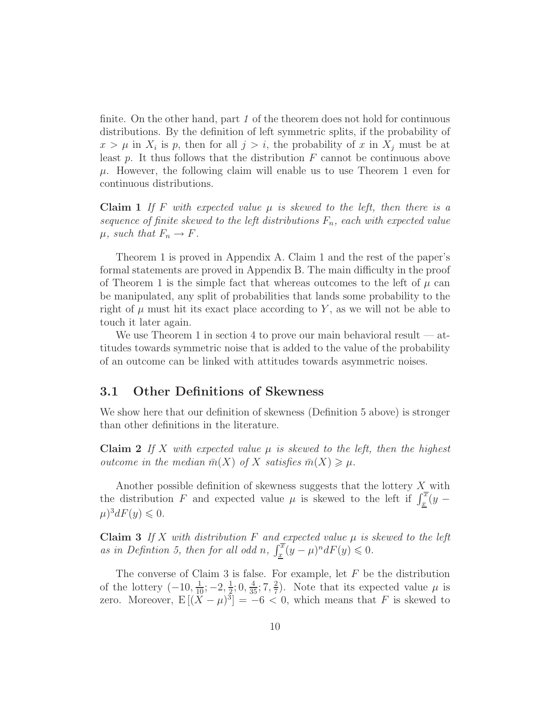finite. On the other hand, part *1* of the theorem does not hold for continuous distributions. By the definition of left symmetric splits, if the probability of  $x > \mu$  in  $X_i$  is p, then for all  $j > i$ , the probability of x in  $X_j$  must be at least  $p$ . It thus follows that the distribution  $F$  cannot be continuous above  $\mu$ . However, the following claim will enable us to use Theorem 1 even for continuous distributions.

**Claim 1** If F with expected value  $\mu$  is skewed to the left, then there is a *sequence of finite skewed to the left distributions*  $F_n$ *, each with expected value*  $\mu$ *, such that*  $F_n \to F$ *.* 

Theorem 1 is proved in Appendix A. Claim 1 and the rest of the paper's formal statements are proved in Appendix B. The main difficulty in the proof of Theorem 1 is the simple fact that whereas outcomes to the left of  $\mu$  can be manipulated, any split of probabilities that lands some probability to the right of  $\mu$  must hit its exact place according to Y, as we will not be able to touch it later again.

We use Theorem 1 in section 4 to prove our main behavioral result  $-$  attitudes towards symmetric noise that is added to the value of the probability of an outcome can be linked with attitudes towards asymmetric noises.

#### 3.1 Other Definitions of Skewness

We show here that our definition of skewness (Definition 5 above) is stronger than other definitions in the literature.

**Claim 2** If X with expected value  $\mu$  is skewed to the left, then the highest *outcome in the median*  $\bar{m}(X)$  *of* X *satisfies*  $\bar{m}(X) \geq \mu$ *.* 

Another possible definition of skewness suggests that the lottery X with the distribution F and expected value  $\mu$  is skewed to the left if  $\int_{\underline{x}}^{\overline{x}} (y - y) dy$  $\mu)^3 dF(y) \leqslant 0.$ 

**Claim 3** If X with distribution F and expected value  $\mu$  is skewed to the left as in Definition 5, then for all odd n,  $\int_{\underline{x}}^{\overline{x}} (y - \mu)^n dF(y) \leq 0$ .

The converse of Claim 3 is false. For example, let  $F$  be the distribution of the lottery  $(-10, \frac{1}{10}; -2, \frac{1}{2})$  $\frac{1}{2}$ ; 0,  $\frac{4}{35}$ ; 7,  $\frac{2}{7}$  $\frac{2}{7}$ ). Note that its expected value  $\mu$  is zero. Moreover,  $E[(\bar{X} - \mu)^3] = -6 < 0$ , which means that F is skewed to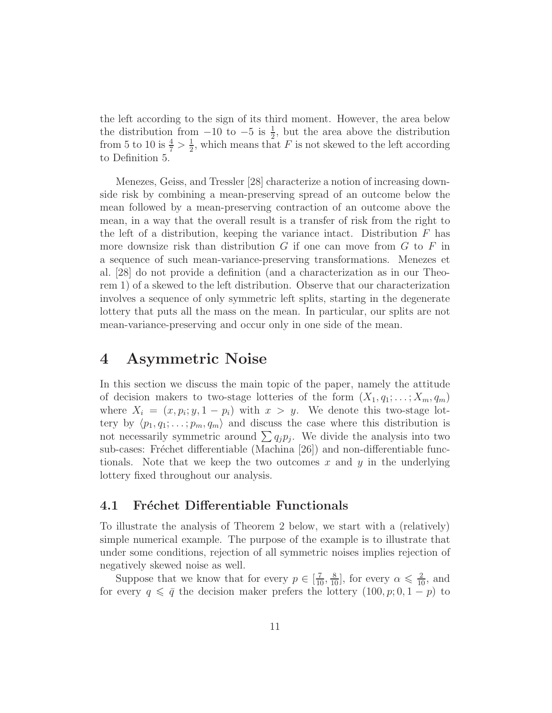the left according to the sign of its third moment. However, the area below the distribution from  $-10$  to  $-5$  is  $\frac{1}{2}$ , but the area above the distribution from 5 to 10 is  $\frac{4}{7} > \frac{1}{2}$  $\frac{1}{2}$ , which means that F is not skewed to the left according to Definition 5.

Menezes, Geiss, and Tressler [28] characterize a notion of increasing downside risk by combining a mean-preserving spread of an outcome below the mean followed by a mean-preserving contraction of an outcome above the mean, in a way that the overall result is a transfer of risk from the right to the left of a distribution, keeping the variance intact. Distribution  $F$  has more downsize risk than distribution  $G$  if one can move from  $G$  to  $F$  in a sequence of such mean-variance-preserving transformations. Menezes et al. [28] do not provide a definition (and a characterization as in our Theorem 1) of a skewed to the left distribution. Observe that our characterization involves a sequence of only symmetric left splits, starting in the degenerate lottery that puts all the mass on the mean. In particular, our splits are not mean-variance-preserving and occur only in one side of the mean.

### 4 Asymmetric Noise

In this section we discuss the main topic of the paper, namely the attitude of decision makers to two-stage lotteries of the form  $(X_1, q_1; \ldots; X_m, q_m)$ where  $X_i = (x, p_i; y, 1 - p_i)$  with  $x > y$ . We denote this two-stage lottery by  $\langle p_1, q_1; \ldots; p_m, q_m \rangle$  and discuss the case where this distribution is not necessarily symmetric around  $\sum q_j p_j$ . We divide the analysis into two sub-cases: Fréchet differentiable (Machina [26]) and non-differentiable functionals. Note that we keep the two outcomes  $x$  and  $y$  in the underlying lottery fixed throughout our analysis.

#### 4.1 Fréchet Differentiable Functionals

To illustrate the analysis of Theorem 2 below, we start with a (relatively) simple numerical example. The purpose of the example is to illustrate that under some conditions, rejection of all symmetric noises implies rejection of negatively skewed noise as well.

Suppose that we know that for every  $p \in [\frac{7}{10}, \frac{8}{10}]$ , for every  $\alpha \leq \frac{2}{10}$ , and for every  $q \leq \bar{q}$  the decision maker prefers the lottery  $(100, p; 0, 1 - p)$  to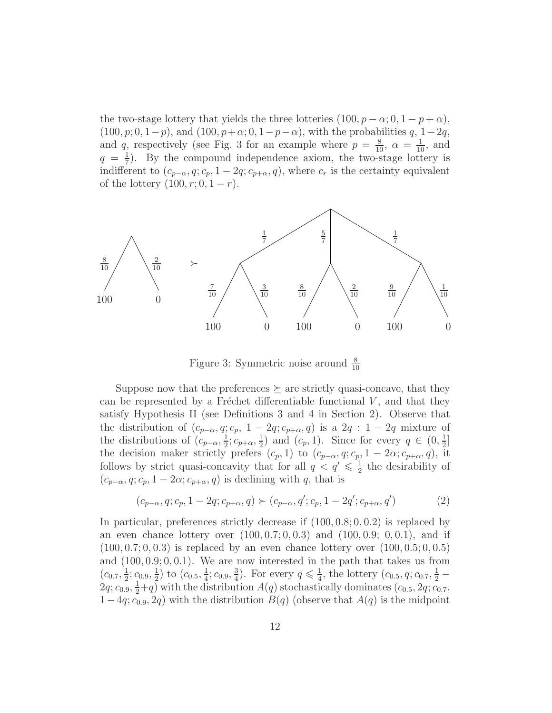the two-stage lottery that yields the three lotteries  $(100, p - \alpha; 0, 1 - p + \alpha)$ ,  $(100, p; 0, 1-p)$ , and  $(100, p+\alpha; 0, 1-p-\alpha)$ , with the probabilities q, 1-2q, and q, respectively (see Fig. 3 for an example where  $p = \frac{8}{10}$ ,  $\alpha = \frac{1}{10}$ , and  $q = \frac{1}{7}$  $\frac{1}{7}$ ). By the compound independence axiom, the two-stage lottery is indifferent to  $(c_{p-\alpha}, q; c_p, 1-2q; c_{p+\alpha}, q)$ , where  $c_r$  is the certainty equivalent of the lottery  $(100, r; 0, 1 - r)$ .



Figure 3: Symmetric noise around  $\frac{8}{10}$ 

Suppose now that the preferences  $\succeq$  are strictly quasi-concave, that they can be represented by a Fréchet differentiable functional  $V$ , and that they satisfy Hypothesis II (see Definitions 3 and 4 in Section 2). Observe that the distribution of  $(c_{p-\alpha}, q; c_p, 1-2q; c_{p+\alpha}, q)$  is a  $2q : 1-2q$  mixture of the distributions of  $(c_{p-\alpha}, \frac{1}{2})$  $\frac{1}{2}$ ;  $c_{p+\alpha}, \frac{1}{2}$  $\frac{1}{2}$  and  $(c_p, 1)$ . Since for every  $q \in (0, \frac{1}{2})$  $\frac{1}{2}$ ] the decision maker strictly prefers  $(c_p, 1)$  to  $(c_{p-\alpha}, q; c_p, 1-2\alpha; c_{p+\alpha}, q)$ , it follows by strict quasi-concavity that for all  $q < q' \leq \frac{1}{2}$  $\frac{1}{2}$  the desirability of  $(c_{p-\alpha}, q; c_p, 1-2\alpha; c_{p+\alpha}, q)$  is declining with q, that is

$$
(c_{p-\alpha}, q; c_p, 1-2q; c_{p+\alpha}, q) \succ (c_{p-\alpha}, q'; c_p, 1-2q'; c_{p+\alpha}, q')
$$
 (2)

In particular, preferences strictly decrease if  $(100, 0.8; 0, 0.2)$  is replaced by an even chance lottery over  $(100, 0.7; 0, 0.3)$  and  $(100, 0.9; 0, 0.1)$ , and if  $(100, 0.7; 0, 0.3)$  is replaced by an even chance lottery over  $(100, 0.5; 0, 0.5)$ and  $(100, 0.9; 0, 0.1)$ . We are now interested in the path that takes us from  $(c_{0.7}, \frac{1}{2})$  $\frac{1}{2}$ ;  $c_{0.9}, \frac{1}{2}$  $(\frac{1}{2})$  to  $(c_{0.5}, \frac{1}{4})$  $\frac{1}{4}$ ;  $c_{0.9}, \frac{3}{4}$  $\frac{3}{4}$ ). For every  $q \leq \frac{1}{4}$  $\frac{1}{4}$ , the lottery  $(c_{0.5}, q; c_{0.7}, \frac{1}{2}$  –  $2q; c_{0.9}, \frac{1}{2}+q$  with the distribution  $A(q)$  stochastically dominates  $(c_{0.5}, 2q; c_{0.7},$  $1-4q$ ;  $c_{0.9}, 2q$ ) with the distribution  $B(q)$  (observe that  $A(q)$  is the midpoint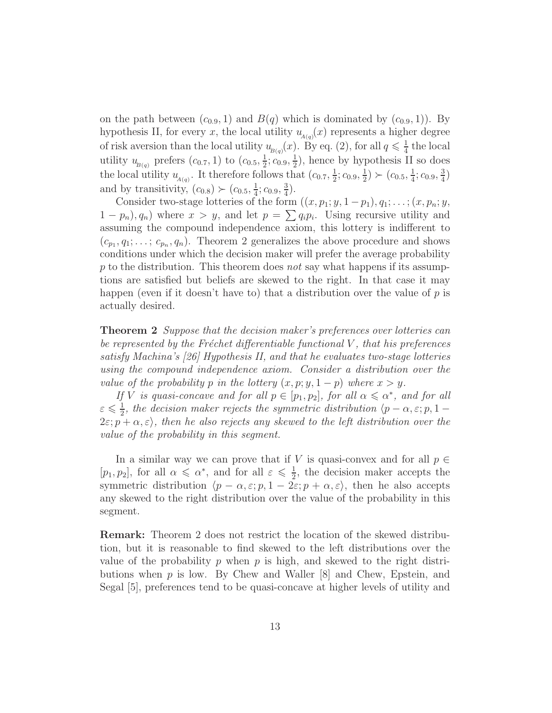on the path between  $(c_{0.9}, 1)$  and  $B(q)$  which is dominated by  $(c_{0.9}, 1)$ . By hypothesis II, for every x, the local utility  $u_{A(q)}(x)$  represents a higher degree of risk aversion than the local utility  $u_{B(q)}(x)$ . By eq. (2), for all  $q \leq \frac{1}{4}$  $\frac{1}{4}$  the local utility  $u_{B(q)}$  prefers  $(c_{0.7}, 1)$  to  $(c_{0.5}, \frac{1}{2})$  $\frac{1}{2}$ ;  $c_{0.9}, \frac{1}{2}$  $(\frac{1}{2})$ , hence by hypothesis II so does the local utility  $u_{A(q)}$ . It therefore follows that  $(c_{0.7}, \frac{1}{2})$  $\frac{1}{2}$ ;  $c_{0.9}, \frac{1}{2}$  $(\frac{1}{2}) \succ (c_{0.5}, \frac{1}{4})$  $\frac{1}{4}$ ;  $c_{0.9}, \frac{3}{4}$  $\frac{3}{4}$ and by transitivity,  $(c_{0.8}) \succ (c_{0.5}, \frac{1}{4})$  $\frac{1}{4}$ ;  $c_{0.9}, \frac{3}{4}$  $\frac{3}{4}$ .

Consider two-stage lotteries of the form  $((x, p_1; y, 1-p_1), q_1; \ldots; (x, p_n; y,$  $1 - p_n$ ,  $q_n$  where  $x > y$ , and let  $p = \sum q_i p_i$ . Using recursive utility and assuming the compound independence axiom, this lottery is indifferent to  $(c_{p_1}, q_1; \ldots; c_{p_n}, q_n)$ . Theorem 2 generalizes the above procedure and shows conditions under which the decision maker will prefer the average probability p to the distribution. This theorem does *not* say what happens if its assumptions are satisfied but beliefs are skewed to the right. In that case it may happen (even if it doesn't have to) that a distribution over the value of  $p$  is actually desired.

Theorem 2 *Suppose that the decision maker's preferences over lotteries can be represented by the Fr´echet differentiable functional* V *, that his preferences satisfy Machina's [26] Hypothesis II, and that he evaluates two-stage lotteries using the compound independence axiom. Consider a distribution over the value of the probability* p *in the lottery*  $(x, p; y, 1-p)$  *where*  $x > y$ *.* 

*If V is quasi-concave and for all*  $p \in [p_1, p_2]$ *, for all*  $\alpha \leq \alpha^*$ *, and for all*  $\varepsilon \leqslant \frac{1}{2}$  $\frac{1}{2}$ , the decision maker rejects the symmetric distribution  $\langle p - \alpha, \varepsilon; p, 1 - \alpha \rangle$  $2\varepsilon$ ;  $p + \alpha$ ,  $\varepsilon$ ), then he also rejects any skewed to the left distribution over the *value of the probability in this segment.*

In a similar way we can prove that if V is quasi-convex and for all  $p \in$  $[p_1, p_2]$ , for all  $\alpha \leqslant \alpha^*$ , and for all  $\varepsilon \leqslant \frac{1}{2}$  $\frac{1}{2}$ , the decision maker accepts the symmetric distribution  $\langle p - \alpha, \varepsilon; p, 1 - 2\varepsilon; p + \alpha, \varepsilon \rangle$ , then he also accepts any skewed to the right distribution over the value of the probability in this segment.

Remark: Theorem 2 does not restrict the location of the skewed distribution, but it is reasonable to find skewed to the left distributions over the value of the probability p when p is high, and skewed to the right distributions when  $p$  is low. By Chew and Waller  $[8]$  and Chew, Epstein, and Segal [5], preferences tend to be quasi-concave at higher levels of utility and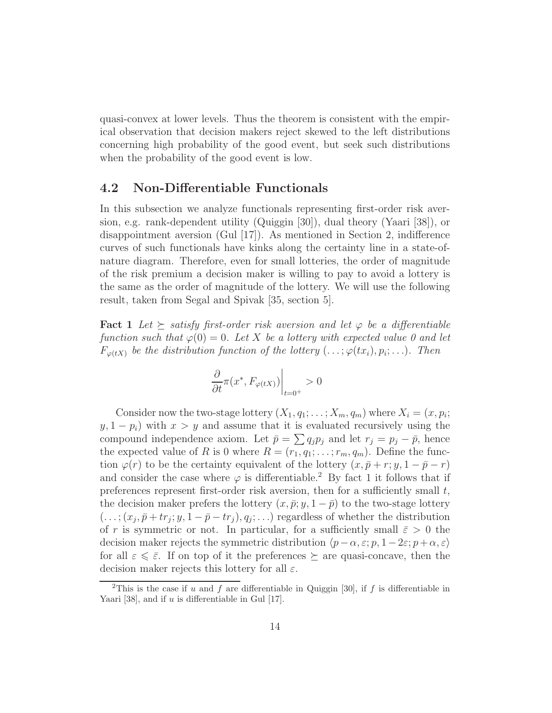quasi-convex at lower levels. Thus the theorem is consistent with the empirical observation that decision makers reject skewed to the left distributions concerning high probability of the good event, but seek such distributions when the probability of the good event is low.

#### 4.2 Non-Differentiable Functionals

In this subsection we analyze functionals representing first-order risk aversion, e.g. rank-dependent utility (Quiggin [30]), dual theory (Yaari [38]), or disappointment aversion  $(Gul |17)$ . As mentioned in Section 2, indifference curves of such functionals have kinks along the certainty line in a state-ofnature diagram. Therefore, even for small lotteries, the order of magnitude of the risk premium a decision maker is willing to pay to avoid a lottery is the same as the order of magnitude of the lottery. We will use the following result, taken from Segal and Spivak [35, section 5].

**Fact 1** Let  $\succeq$  satisfy first-order risk aversion and let  $\varphi$  be a differentiable *function such that*  $\varphi(0) = 0$ *. Let* X *be a lottery with expected value* 0 and let  $F_{\varphi(tX)}$  be the distribution function of the lottery  $(\ldots;\varphi(tx_i),p_i;\ldots)$ . Then

$$
\left. \frac{\partial}{\partial t} \pi(x^*, F_{\varphi(tX)}) \right|_{t=0^+} > 0
$$

Consider now the two-stage lottery  $(X_1, q_1; \ldots; X_m, q_m)$  where  $X_i = (x, p_i;$  $y, 1 - p_i$ ) with  $x > y$  and assume that it is evaluated recursively using the compound independence axiom. Let  $\bar{p} = \sum q_j p_j$  and let  $r_j = p_j - \bar{p}$ , hence the expected value of R is 0 where  $R = (r_1, q_1; \ldots; r_m, q_m)$ . Define the function  $\varphi(r)$  to be the certainty equivalent of the lottery  $(x, \bar{p}+r; y, 1-\bar{p}-r)$ and consider the case where  $\varphi$  is differentiable.<sup>2</sup> By fact 1 it follows that if preferences represent first-order risk aversion, then for a sufficiently small  $t$ , the decision maker prefers the lottery  $(x, \bar{p}; y, 1-\bar{p})$  to the two-stage lottery  $(\ldots; (x_j, \bar{p} + tr_j; y, 1 - \bar{p} - tr_j), q_j; \ldots)$  regardless of whether the distribution of r is symmetric or not. In particular, for a sufficiently small  $\bar{\varepsilon} > 0$  the decision maker rejects the symmetric distribution  $\langle p-\alpha, \varepsilon; p, 1-2\varepsilon; p+\alpha, \varepsilon \rangle$ for all  $\varepsilon \leq \bar{\varepsilon}$ . If on top of it the preferences  $\succeq$  are quasi-concave, then the decision maker rejects this lottery for all  $\varepsilon$ .

<sup>&</sup>lt;sup>2</sup>This is the case if u and f are differentiable in Quiggin [30], if f is differentiable in Yaari [38], and if  $u$  is differentiable in Gul [17].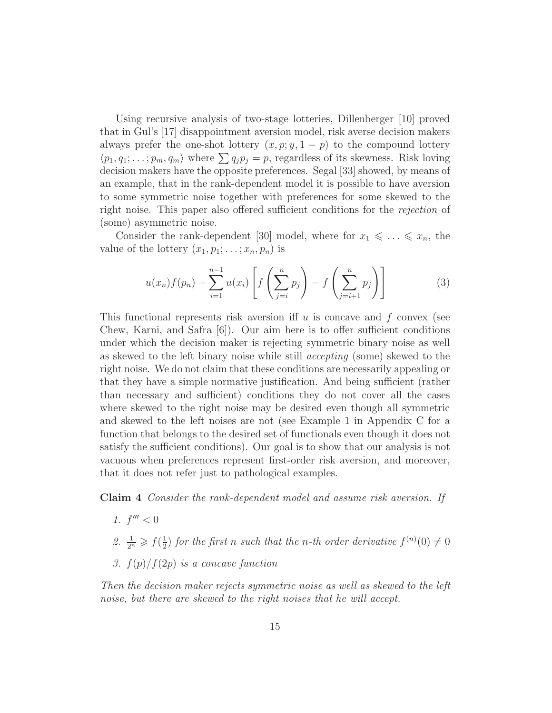Using recursive analysis of two-stage lotteries, Dillenberger [10] proved that in Gul's [17] disappointment aversion model, risk averse decision makers always prefer the one-shot lottery  $(x, p; y, 1-p)$  to the compound lottery  $\langle p_1, q_1; \ldots; p_m, q_m \rangle$  where  $\sum q_i p_j = p$ , regardless of its skewness. Risk loving decision makers have the opposite preferences. Segal [33] showed, by means of an example, that in the rank-dependent model it is possible to have aversion to some symmetric noise together with preferences for some skewed to the right noise. This paper also offered sufficient conditions for the *rejection* of (some) asymmetric noise.

Consider the rank-dependent [30] model, where for  $x_1 \leq \ldots \leq x_n$ , the value of the lottery  $(x_1, p_1; \ldots; x_n, p_n)$  is

$$
u(x_n) f(p_n) + \sum_{i=1}^{n-1} u(x_i) \left[ f\left(\sum_{j=i}^n p_j\right) - f\left(\sum_{j=i+1}^n p_j\right) \right]
$$
(3)

This functional represents risk aversion if  $u$  is concave and  $f$  convex (see Chew, Karni, and Safra  $|6|$ ). Our aim here is to offer sufficient conditions under which the decision maker is rejecting symmetric binary noise as well as skewed to the left binary noise while still *accepting* (some) skewed to the right noise. We do not claim that these conditions are necessarily appealing or that they have a simple normative justification. And being sufficient (rather than necessary and sufficient) conditions they do not cover all the cases where skewed to the right noise may be desired even though all symmetric and skewed to the left noises are not (see Example 1 in Appendix C for a function that belongs to the desired set of functionals even though it does not satisfy the sufficient conditions). Our goal is to show that our analysis is not vacuous when preferences represent first-order risk aversion, and moreover, that it does not refer just to pathological examples.

Claim 4 *Consider the rank-dependent model and assume risk aversion. If*

- 1.  $f''' < 0$
- 2.  $\frac{1}{2^n} \geqslant f(\frac{1}{2})$  $\frac{1}{2}$  for the first *n* such that the *n*-th order derivative  $f^{(n)}(0) \neq 0$
- *3.* f(p)/f(2p) *is a concave function*

*Then the decision maker rejects symmetric noise as well as skewed to the left noise, but there are skewed to the right noises that he will accept.*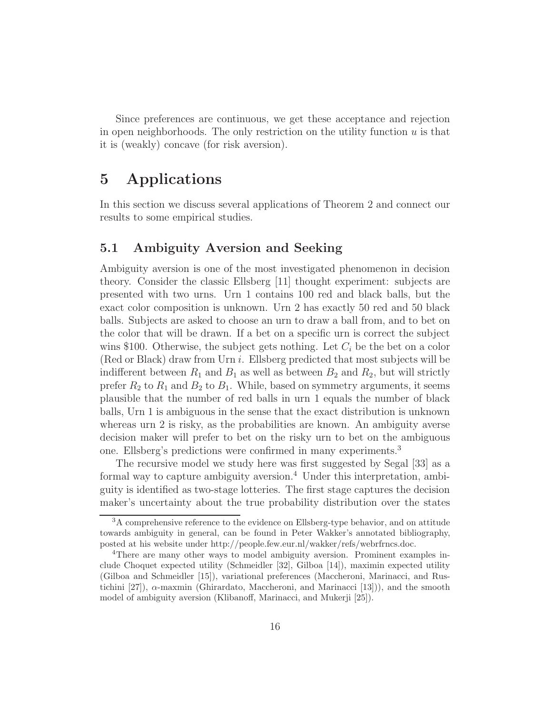Since preferences are continuous, we get these acceptance and rejection in open neighborhoods. The only restriction on the utility function  $u$  is that it is (weakly) concave (for risk aversion).

# 5 Applications

In this section we discuss several applications of Theorem 2 and connect our results to some empirical studies.

#### 5.1 Ambiguity Aversion and Seeking

Ambiguity aversion is one of the most investigated phenomenon in decision theory. Consider the classic Ellsberg [11] thought experiment: subjects are presented with two urns. Urn 1 contains 100 red and black balls, but the exact color composition is unknown. Urn 2 has exactly 50 red and 50 black balls. Subjects are asked to choose an urn to draw a ball from, and to bet on the color that will be drawn. If a bet on a specific urn is correct the subject wins \$100. Otherwise, the subject gets nothing. Let  $C_i$  be the bet on a color (Red or Black) draw from Urn i. Ellsberg predicted that most subjects will be indifferent between  $R_1$  and  $B_1$  as well as between  $B_2$  and  $R_2$ , but will strictly prefer  $R_2$  to  $R_1$  and  $B_2$  to  $B_1$ . While, based on symmetry arguments, it seems plausible that the number of red balls in urn 1 equals the number of black balls, Urn 1 is ambiguous in the sense that the exact distribution is unknown whereas urn 2 is risky, as the probabilities are known. An ambiguity averse decision maker will prefer to bet on the risky urn to bet on the ambiguous one. Ellsberg's predictions were confirmed in many experiments.<sup>3</sup>

The recursive model we study here was first suggested by Segal [33] as a formal way to capture ambiguity aversion.<sup>4</sup> Under this interpretation, ambiguity is identified as two-stage lotteries. The first stage captures the decision maker's uncertainty about the true probability distribution over the states

<sup>3</sup>A comprehensive reference to the evidence on Ellsberg-type behavior, and on attitude towards ambiguity in general, can be found in Peter Wakker's annotated bibliography, posted at his website under http://people.few.eur.nl/wakker/refs/webrfrncs.doc.

<sup>&</sup>lt;sup>4</sup>There are many other ways to model ambiguity aversion. Prominent examples include Choquet expected utility (Schmeidler [32], Gilboa [14]), maximin expected utility (Gilboa and Schmeidler [15]), variational preferences (Maccheroni, Marinacci, and Rustichini [27]),  $\alpha$ -maxmin (Ghirardato, Maccheroni, and Marinacci [13])), and the smooth model of ambiguity aversion (Klibanoff, Marinacci, and Mukerji [25]).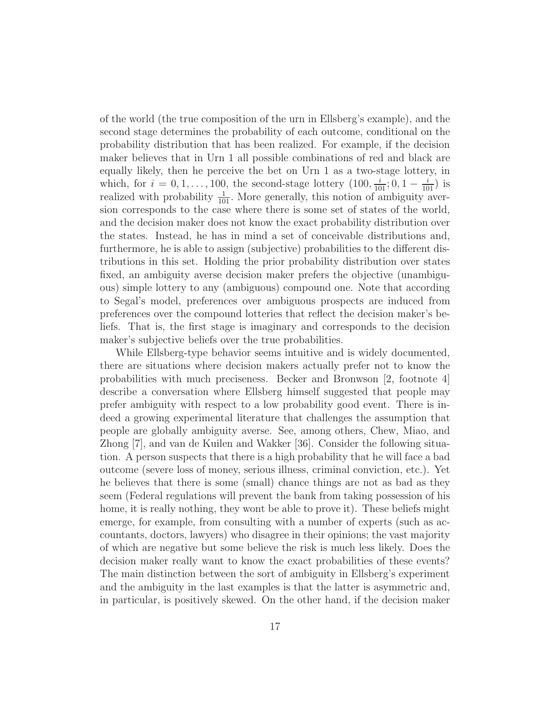of the world (the true composition of the urn in Ellsberg's example), and the second stage determines the probability of each outcome, conditional on the probability distribution that has been realized. For example, if the decision maker believes that in Urn 1 all possible combinations of red and black are equally likely, then he perceive the bet on Urn 1 as a two-stage lottery, in which, for  $i = 0, 1, ..., 100$ , the second-stage lottery  $(100, \frac{i}{101}; 0, 1 - \frac{i}{101})$  is realized with probability  $\frac{1}{101}$ . More generally, this notion of ambiguity aversion corresponds to the case where there is some set of states of the world, and the decision maker does not know the exact probability distribution over the states. Instead, he has in mind a set of conceivable distributions and, furthermore, he is able to assign (subjective) probabilities to the different distributions in this set. Holding the prior probability distribution over states fixed, an ambiguity averse decision maker prefers the objective (unambiguous) simple lottery to any (ambiguous) compound one. Note that according to Segal's model, preferences over ambiguous prospects are induced from preferences over the compound lotteries that reflect the decision maker's beliefs. That is, the first stage is imaginary and corresponds to the decision maker's subjective beliefs over the true probabilities.

While Ellsberg-type behavior seems intuitive and is widely documented, there are situations where decision makers actually prefer not to know the probabilities with much preciseness. Becker and Bronwson [2, footnote 4] describe a conversation where Ellsberg himself suggested that people may prefer ambiguity with respect to a low probability good event. There is indeed a growing experimental literature that challenges the assumption that people are globally ambiguity averse. See, among others, Chew, Miao, and Zhong [7], and van de Kuilen and Wakker [36]. Consider the following situation. A person suspects that there is a high probability that he will face a bad outcome (severe loss of money, serious illness, criminal conviction, etc.). Yet he believes that there is some (small) chance things are not as bad as they seem (Federal regulations will prevent the bank from taking possession of his home, it is really nothing, they wont be able to prove it). These beliefs might emerge, for example, from consulting with a number of experts (such as accountants, doctors, lawyers) who disagree in their opinions; the vast majority of which are negative but some believe the risk is much less likely. Does the decision maker really want to know the exact probabilities of these events? The main distinction between the sort of ambiguity in Ellsberg's experiment and the ambiguity in the last examples is that the latter is asymmetric and, in particular, is positively skewed. On the other hand, if the decision maker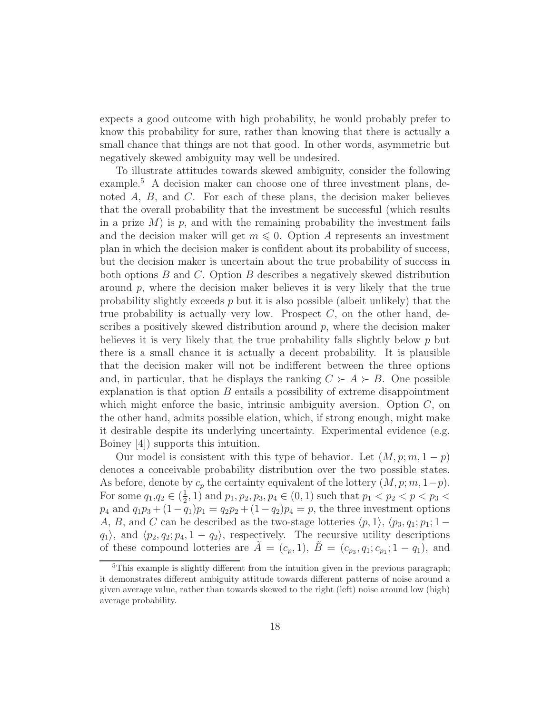expects a good outcome with high probability, he would probably prefer to know this probability for sure, rather than knowing that there is actually a small chance that things are not that good. In other words, asymmetric but negatively skewed ambiguity may well be undesired.

To illustrate attitudes towards skewed ambiguity, consider the following example.<sup>5</sup> A decision maker can choose one of three investment plans, denoted A, B, and C. For each of these plans, the decision maker believes that the overall probability that the investment be successful (which results in a prize  $M$ ) is p, and with the remaining probability the investment fails and the decision maker will get  $m \leq 0$ . Option A represents an investment plan in which the decision maker is confident about its probability of success, but the decision maker is uncertain about the true probability of success in both options B and C. Option B describes a negatively skewed distribution around  $p$ , where the decision maker believes it is very likely that the true probability slightly exceeds  $p$  but it is also possible (albeit unlikely) that the true probability is actually very low. Prospect  $C$ , on the other hand, describes a positively skewed distribution around  $p$ , where the decision maker believes it is very likely that the true probability falls slightly below  $p$  but there is a small chance it is actually a decent probability. It is plausible that the decision maker will not be indifferent between the three options and, in particular, that he displays the ranking  $C \succ A \succ B$ . One possible explanation is that option  $B$  entails a possibility of extreme disappointment which might enforce the basic, intrinsic ambiguity aversion. Option  $C$ , on the other hand, admits possible elation, which, if strong enough, might make it desirable despite its underlying uncertainty. Experimental evidence (e.g. Boiney [4]) supports this intuition.

Our model is consistent with this type of behavior. Let  $(M, p; m, 1-p)$ denotes a conceivable probability distribution over the two possible states. As before, denote by  $c_p$  the certainty equivalent of the lottery  $(M, p; m, 1-p)$ . For some  $q_1, q_2 \in (\frac{1}{2})$  $(\frac{1}{2}, 1)$  and  $p_1, p_2, p_3, p_4 \in (0, 1)$  such that  $p_1 < p_2 < p < p_3$  $p_4$  and  $q_1p_3 + (1-q_1)p_1 = q_2p_2 + (1-q_2)p_4 = p$ , the three investment options A, B, and C can be described as the two-stage lotteries  $\langle p, 1 \rangle$ ,  $\langle p_3, q_1; p_1; 1$  $q_1$ , and  $\langle p_2, q_2; p_4, 1 - q_2 \rangle$ , respectively. The recursive utility descriptions of these compound lotteries are  $\tilde{A} = (c_p, 1), \tilde{B} = (c_{p_3}, q_1; c_{p_1}; 1 - q_1),$  and

 $5$ This example is slightly different from the intuition given in the previous paragraph; it demonstrates different ambiguity attitude towards different patterns of noise around a given average value, rather than towards skewed to the right (left) noise around low (high) average probability.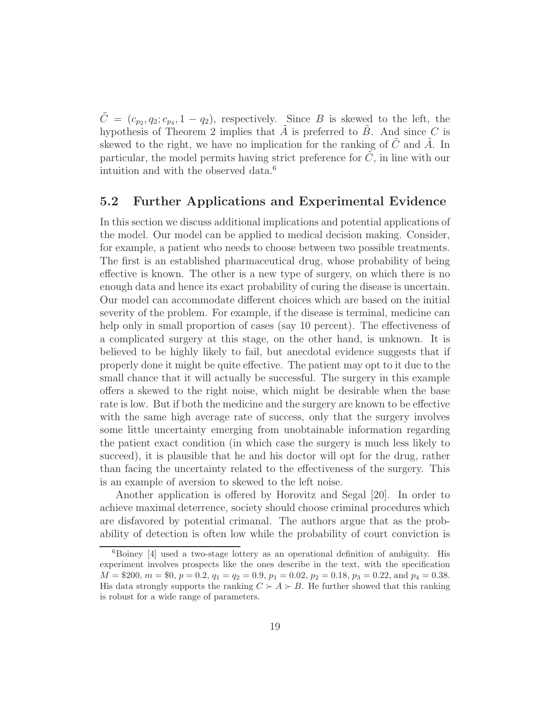$\tilde{C} = (c_{p_2}, q_2; c_{p_4}, 1 - q_2)$ , respectively. Since B is skewed to the left, the hypothesis of Theorem 2 implies that  $A$  is preferred to  $B$ . And since  $C$  is skewed to the right, we have no implication for the ranking of  $C$  and  $A$ . In particular, the model permits having strict preference for  $C$ , in line with our intuition and with the observed data.<sup>6</sup>

#### 5.2 Further Applications and Experimental Evidence

In this section we discuss additional implications and potential applications of the model. Our model can be applied to medical decision making. Consider, for example, a patient who needs to choose between two possible treatments. The first is an established pharmaceutical drug, whose probability of being effective is known. The other is a new type of surgery, on which there is no enough data and hence its exact probability of curing the disease is uncertain. Our model can accommodate different choices which are based on the initial severity of the problem. For example, if the disease is terminal, medicine can help only in small proportion of cases (say 10 percent). The effectiveness of a complicated surgery at this stage, on the other hand, is unknown. It is believed to be highly likely to fail, but anecdotal evidence suggests that if properly done it might be quite effective. The patient may opt to it due to the small chance that it will actually be successful. The surgery in this example offers a skewed to the right noise, which might be desirable when the base rate is low. But if both the medicine and the surgery are known to be effective with the same high average rate of success, only that the surgery involves some little uncertainty emerging from unobtainable information regarding the patient exact condition (in which case the surgery is much less likely to succeed), it is plausible that he and his doctor will opt for the drug, rather than facing the uncertainty related to the effectiveness of the surgery. This is an example of aversion to skewed to the left noise.

Another application is offered by Horovitz and Segal [20]. In order to achieve maximal deterrence, society should choose criminal procedures which are disfavored by potential crimanal. The authors argue that as the probability of detection is often low while the probability of court conviction is

<sup>&</sup>lt;sup>6</sup>Boiney [4] used a two-stage lottery as an operational definition of ambiguity. His experiment involves prospects like the ones describe in the text, with the specification  $M = $200, m = $0, p = 0.2, q_1 = q_2 = 0.9, p_1 = 0.02, p_2 = 0.18, p_3 = 0.22, \text{ and } p_4 = 0.38.$ His data strongly supports the ranking  $C \succ A \succ B$ . He further showed that this ranking is robust for a wide range of parameters.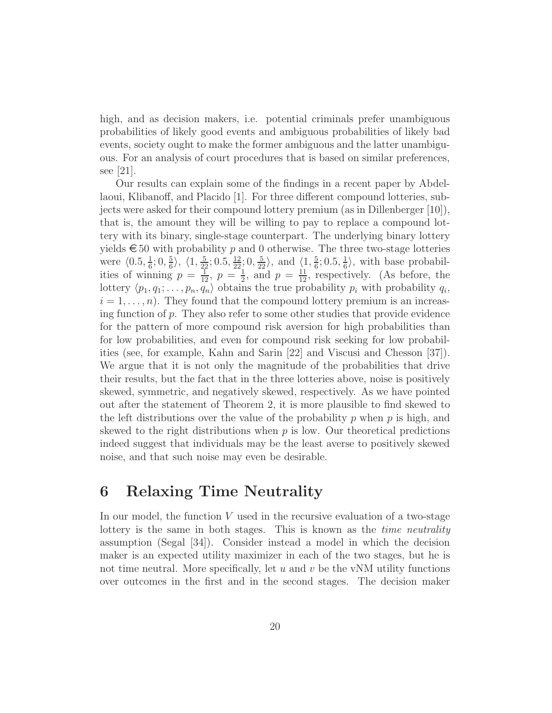high, and as decision makers, i.e. potential criminals prefer unambiguous probabilities of likely good events and ambiguous probabilities of likely bad events, society ought to make the former ambiguous and the latter unambiguous. For an analysis of court procedures that is based on similar preferences, see [21].

Our results can explain some of the findings in a recent paper by Abdellaoui, Klibanoff, and Placido [1]. For three different compound lotteries, subjects were asked for their compound lottery premium (as in Dillenberger [10]), that is, the amount they will be willing to pay to replace a compound lottery with its binary, single-stage counterpart. The underlying binary lottery yields  $\epsilon$  50 with probability p and 0 otherwise. The three two-stage lotteries were  $\langle 0.5, \frac{1}{6}$  $\frac{1}{6}$ ; 0,  $\frac{5}{6}$  $\frac{5}{6}$ ,  $\langle 1, \frac{5}{22}$ ; 0.5,  $\frac{12}{22}$ ; 0,  $\frac{5}{22}$ , and  $\langle 1, \frac{5}{6}$  $\frac{5}{6}$ ; 0.5,  $\frac{1}{6}$  $\frac{1}{6}$ , with base probabilities of winning  $p = \frac{1}{12}, p = \frac{1}{2}$  $\frac{1}{2}$ , and  $p = \frac{11}{12}$ , respectively. (As before, the lottery  $\langle p_1, q_1; \ldots, p_n, q_n \rangle$  obtains the true probability  $p_i$  with probability  $q_i$ ,  $i = 1, \ldots, n$ . They found that the compound lottery premium is an increasing function of  $p$ . They also refer to some other studies that provide evidence for the pattern of more compound risk aversion for high probabilities than for low probabilities, and even for compound risk seeking for low probabilities (see, for example, Kahn and Sarin [22] and Viscusi and Chesson [37]). We argue that it is not only the magnitude of the probabilities that drive their results, but the fact that in the three lotteries above, noise is positively skewed, symmetric, and negatively skewed, respectively. As we have pointed out after the statement of Theorem 2, it is more plausible to find skewed to the left distributions over the value of the probability  $p$  when  $p$  is high, and skewed to the right distributions when  $p$  is low. Our theoretical predictions indeed suggest that individuals may be the least averse to positively skewed noise, and that such noise may even be desirable.

### 6 Relaxing Time Neutrality

In our model, the function  $V$  used in the recursive evaluation of a two-stage lottery is the same in both stages. This is known as the *time neutrality* assumption (Segal [34]). Consider instead a model in which the decision maker is an expected utility maximizer in each of the two stages, but he is not time neutral. More specifically, let  $u$  and  $v$  be the vNM utility functions over outcomes in the first and in the second stages. The decision maker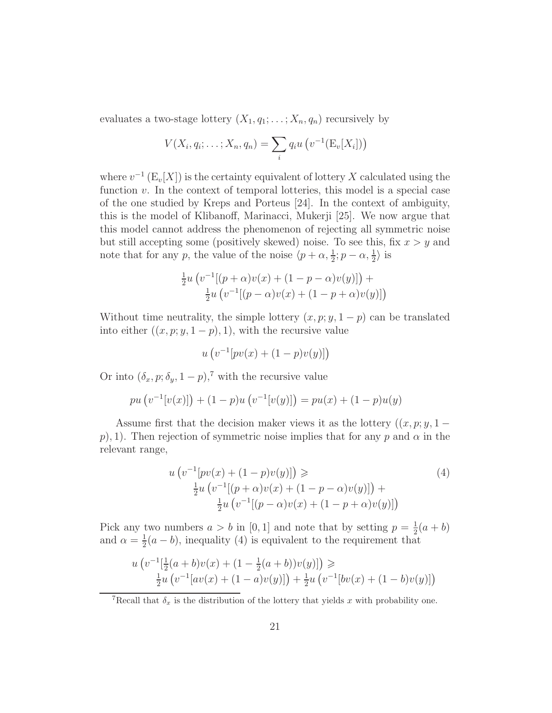evaluates a two-stage lottery  $(X_1, q_1; \ldots; X_n, q_n)$  recursively by

$$
V(X_i, q_i; \ldots; X_n, q_n) = \sum_i q_i u \left( v^{-1}(\mathbb{E}_v[X_i]) \right)
$$

where  $v^{-1}$  (E<sub>v</sub>[X]) is the certainty equivalent of lottery X calculated using the function  $v$ . In the context of temporal lotteries, this model is a special case of the one studied by Kreps and Porteus [24]. In the context of ambiguity, this is the model of Klibanoff, Marinacci, Mukerji [25]. We now argue that this model cannot address the phenomenon of rejecting all symmetric noise but still accepting some (positively skewed) noise. To see this, fix  $x > y$  and note that for any p, the value of the noise  $\langle p + \alpha, \frac{1}{2} ; p - \alpha, \frac{1}{2} \rangle$  is

$$
\frac{1}{2}u \left( v^{-1}[(p+\alpha)v(x) + (1-p-\alpha)v(y)] \right) + \frac{1}{2}u \left( v^{-1}[(p-\alpha)v(x) + (1-p+\alpha)v(y)] \right)
$$

Without time neutrality, the simple lottery  $(x, p; y, 1-p)$  can be translated into either  $((x, p; y, 1-p), 1)$ , with the recursive value

$$
u(v^{-1}[pv(x) + (1-p)v(y)]
$$

Or into  $(\delta_x, p; \delta_y, 1-p)$ ,<sup>7</sup> with the recursive value

$$
pu(v^{-1}[v(x)]) + (1-p)u(v^{-1}[v(y)]) = pu(x) + (1-p)u(y)
$$

Assume first that the decision maker views it as the lottery  $((x, p; y, 1$ p), 1). Then rejection of symmetric noise implies that for any p and  $\alpha$  in the relevant range,

$$
u (v^{-1}[pv(x) + (1 - p)v(y)]) \geq \frac{1}{2}u (v^{-1}[(p + \alpha)v(x) + (1 - p - \alpha)v(y)]) + \frac{1}{2}u (v^{-1}[(p - \alpha)v(x) + (1 - p + \alpha)v(y)])
$$
\n(4)

Pick any two numbers  $a > b$  in [0, 1] and note that by setting  $p = \frac{1}{2}$  $rac{1}{2}(a + b)$ and  $\alpha = \frac{1}{2}$  $\frac{1}{2}(a - b)$ , inequality (4) is equivalent to the requirement that

$$
u\left(v^{-1}[\frac{1}{2}(a+b)v(x) + (1-\frac{1}{2}(a+b))v(y)]\right) \geq \frac{1}{2}u\left(v^{-1}[av(x) + (1-a)v(y)]\right) + \frac{1}{2}u\left(v^{-1}[bv(x) + (1-b)v(y)]\right)
$$

<sup>7</sup>Recall that  $\delta_x$  is the distribution of the lottery that yields x with probability one.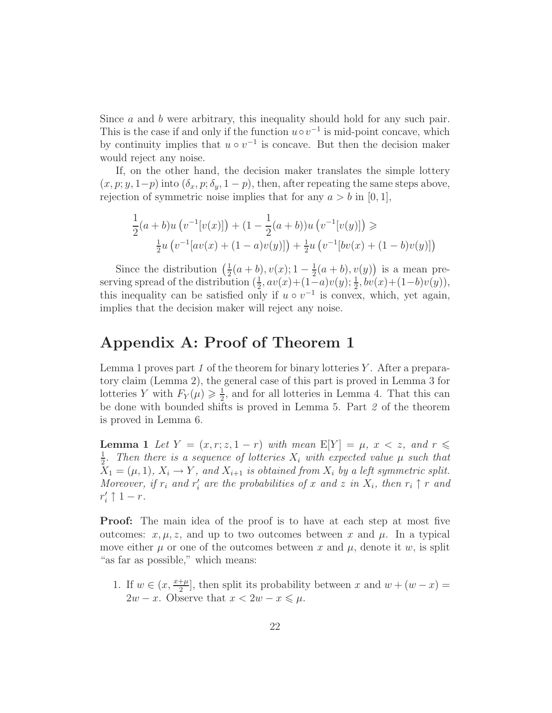Since a and b were arbitrary, this inequality should hold for any such pair. This is the case if and only if the function  $u \circ v^{-1}$  is mid-point concave, which by continuity implies that  $u \circ v^{-1}$  is concave. But then the decision maker would reject any noise.

If, on the other hand, the decision maker translates the simple lottery  $(x, p; y, 1-p)$  into  $(\delta_x, p; \delta_y, 1-p)$ , then, after repeating the same steps above, rejection of symmetric noise implies that for any  $a > b$  in [0, 1],

$$
\frac{1}{2}(a+b)u(v^{-1}[v(x)]) + (1 - \frac{1}{2}(a+b))u(v^{-1}[v(y)]) \ge
$$
  

$$
\frac{1}{2}u(v^{-1}[av(x) + (1 - a)v(y)]) + \frac{1}{2}u(v^{-1}[bv(x) + (1 - b)v(y)])
$$

Since the distribution  $\left(\frac{1}{2}\right)$  $\frac{1}{2}(a+b), v(x); 1-\frac{1}{2}$  $\frac{1}{2}(a+b), v(y)$  is a mean preserving spread of the distribution  $(\frac{1}{2}, av(x) + (1-a)v(y); \frac{1}{2}, bv(x) + (1-b)v(y)),$ this inequality can be satisfied only if  $u \circ v^{-1}$  is convex, which, yet again, implies that the decision maker will reject any noise.

## Appendix A: Proof of Theorem 1

Lemma 1 proves part *1* of the theorem for binary lotteries Y . After a preparatory claim (Lemma 2), the general case of this part is proved in Lemma 3 for lotteries Y with  $F_Y(\mu) \geq \frac{1}{2}$  $\frac{1}{2}$ , and for all lotteries in Lemma 4. That this can be done with bounded shifts is proved in Lemma 5. Part *2* of the theorem is proved in Lemma 6.

**Lemma 1** Let  $Y = (x, r; z, 1 - r)$  with mean  $E[Y] = \mu, x < z$ , and  $r \leq$ 1  $\frac{1}{2}$ . Then there is a sequence of lotteries  $X_i$  with expected value  $\mu$  such that  $X_1 = (\mu, 1), X_i \rightarrow Y$ *, and*  $X_{i+1}$  *is obtained from*  $X_i$  *by a left symmetric split. Moreover, if*  $r_i$  *and*  $r'_i$  *are the probabilities of* x *and* z *in*  $X_i$ *, then*  $r_i \uparrow r$  *and*  $r'_i \uparrow 1-r$ .

Proof: The main idea of the proof is to have at each step at most five outcomes:  $x, \mu, z$ , and up to two outcomes between x and  $\mu$ . In a typical move either  $\mu$  or one of the outcomes between x and  $\mu$ , denote it w, is split "as far as possible," which means:

1. If  $w \in (x, \frac{x+\mu}{2})$  $\frac{+\mu}{2}$ , then split its probability between x and  $w + (w - x) =$  $2w - x$ . Observe that  $x < 2w - x \leq \mu$ .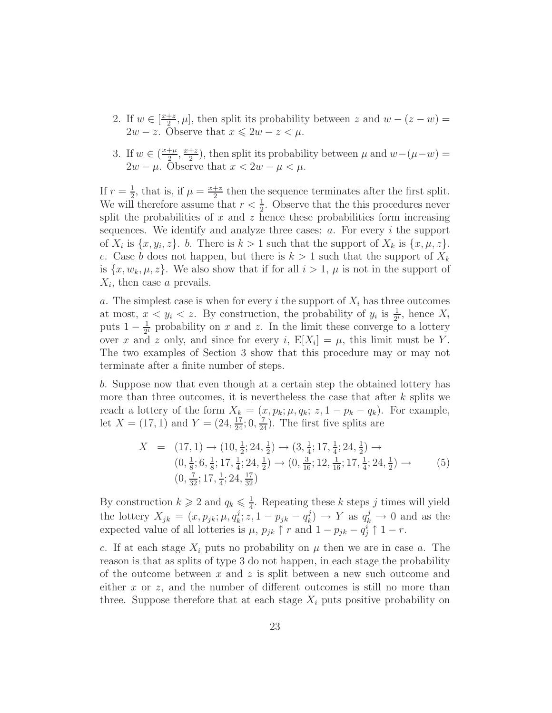- 2. If  $w \in \left[\frac{x+z}{2}\right]$  $\frac{1}{2}$ ,  $\mu$ , then split its probability between z and  $w - (z - w) =$  $2w - z$ . Observe that  $x \le 2w - z < \mu$ .
- 3. If  $w \in (\frac{x+\mu}{2})$  $\frac{+\mu}{2}, \frac{x+z}{2}$  $\frac{+z}{2}$ ), then split its probability between  $\mu$  and  $w-(\mu-w)$  =  $2w - \mu$ . Observe that  $x < 2w - \mu < \mu$ .

If  $r=\frac{1}{2}$  $\frac{1}{2}$ , that is, if  $\mu = \frac{x+z}{2}$  $\frac{+z}{2}$  then the sequence terminates after the first split. We will therefore assume that  $r < \frac{1}{2}$ . Observe that the this procedures never split the probabilities of  $x$  and  $z$  hence these probabilities form increasing sequences. We identify and analyze three cases:  $a$ . For every  $i$  the support of  $X_i$  is  $\{x, y_i, z\}$ . b. There is  $k > 1$  such that the support of  $X_k$  is  $\{x, \mu, z\}$ . c. Case b does not happen, but there is  $k > 1$  such that the support of  $X_k$ is  $\{x, w_k, \mu, z\}$ . We also show that if for all  $i > 1$ ,  $\mu$  is not in the support of  $X_i$ , then case a prevails.

a. The simplest case is when for every i the support of  $X_i$  has three outcomes at most,  $x < y_i < z$ . By construction, the probability of  $y_i$  is  $\frac{1}{2^i}$ , hence  $X_i$ puts  $1-\frac{1}{2}$  $\frac{1}{2^i}$  probability on x and z. In the limit these converge to a lottery over x and z only, and since for every i,  $E[X_i] = \mu$ , this limit must be Y. The two examples of Section 3 show that this procedure may or may not terminate after a finite number of steps.

b. Suppose now that even though at a certain step the obtained lottery has more than three outcomes, it is nevertheless the case that after  $k$  splits we reach a lottery of the form  $X_k = (x, p_k; \mu, q_k; z, 1 - p_k - q_k)$ . For example, let  $X = (17, 1)$  and  $Y = (24, \frac{17}{24}; 0, \frac{7}{24})$ . The first five splits are

$$
X = (17, 1) \rightarrow (10, \frac{1}{2}; 24, \frac{1}{2}) \rightarrow (3, \frac{1}{4}; 17, \frac{1}{4}; 24, \frac{1}{2}) \rightarrow (0, \frac{1}{8}; 6, \frac{1}{8}; 17, \frac{1}{4}; 24, \frac{1}{2}) \rightarrow (0, \frac{3}{16}; 12, \frac{1}{16}; 17, \frac{1}{4}; 24, \frac{1}{2}) \rightarrow (0, \frac{7}{32}; 17, \frac{1}{4}; 24, \frac{17}{32})
$$
\n
$$
(5)
$$

By construction  $k \geqslant 2$  and  $q_k \leqslant \frac{1}{4}$  $\frac{1}{4}$ . Repeating these k steps j times will yield the lottery  $X_{jk} = (x, p_{jk}; \mu, q_k^j)$  $k, i, 1-p_{jk} - q_k^j$  $\binom{j}{k} \to Y$  as  $q_k^j \to 0$  and as the expected value of all lotteries is  $\mu$ ,  $p_{jk} \uparrow r$  and  $1 - p_{jk} - q_j^i \uparrow 1 - r$ .

c. If at each stage  $X_i$  puts no probability on  $\mu$  then we are in case a. The reason is that as splits of type 3 do not happen, in each stage the probability of the outcome between x and z is split between a new such outcome and either x or z, and the number of different outcomes is still no more than three. Suppose therefore that at each stage  $X_i$  puts positive probability on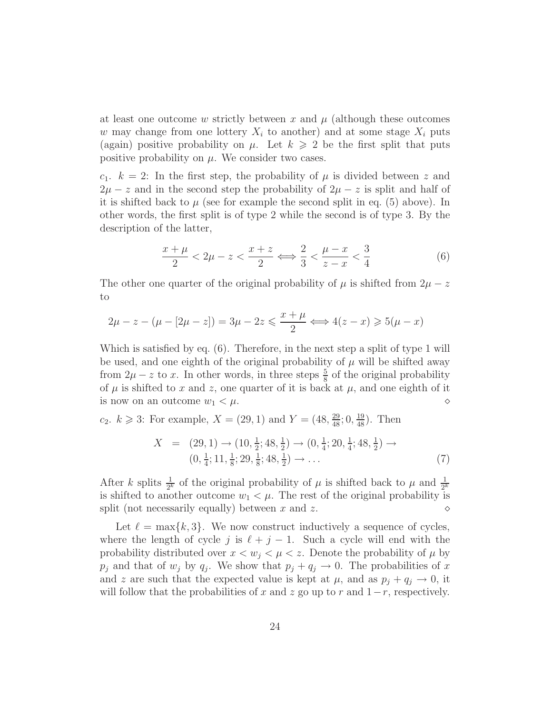at least one outcome w strictly between x and  $\mu$  (although these outcomes w may change from one lottery  $X_i$  to another) and at some stage  $X_i$  puts (again) positive probability on  $\mu$ . Let  $k \geqslant 2$  be the first split that puts positive probability on  $\mu$ . We consider two cases.

 $c_1$ .  $k = 2$ : In the first step, the probability of  $\mu$  is divided between z and  $2\mu - z$  and in the second step the probability of  $2\mu - z$  is split and half of it is shifted back to  $\mu$  (see for example the second split in eq. (5) above). In other words, the first split is of type 2 while the second is of type 3. By the description of the latter,

$$
\frac{x+\mu}{2} < 2\mu - z < \frac{x+z}{2} \Longleftrightarrow \frac{2}{3} < \frac{\mu - x}{z - x} < \frac{3}{4} \tag{6}
$$

The other one quarter of the original probability of  $\mu$  is shifted from  $2\mu - z$ to

$$
2\mu - z - (\mu - [2\mu - z]) = 3\mu - 2z \le \frac{x + \mu}{2} \iff 4(z - x) \ge 5(\mu - x)
$$

Which is satisfied by eq. (6). Therefore, in the next step a split of type 1 will be used, and one eighth of the original probability of  $\mu$  will be shifted away from  $2\mu - z$  to x. In other words, in three steps  $\frac{5}{8}$  of the original probability of  $\mu$  is shifted to x and z, one quarter of it is back at  $\mu$ , and one eighth of it is now on an outcome  $w_1 < \mu$ .

 $c_2$ .  $k \geq 3$ : For example,  $X = (29, 1)$  and  $Y = (48, \frac{29}{48}; 0, \frac{19}{48})$ . Then

$$
X = (29, 1) \rightarrow (10, \frac{1}{2}; 48, \frac{1}{2}) \rightarrow (0, \frac{1}{4}; 20, \frac{1}{4}; 48, \frac{1}{2}) \rightarrow (0, \frac{1}{4}; 11, \frac{1}{8}; 29, \frac{1}{8}; 48, \frac{1}{2}) \rightarrow \dots
$$
\n(7)

After k splits  $\frac{1}{2^k}$  of the original probability of  $\mu$  is shifted back to  $\mu$  and  $\frac{1}{2^k}$ is shifted to another outcome  $w_1 < \mu$ . The rest of the original probability is split (not necessarily equally) between x and z.  $\Diamond$ 

Let  $\ell = \max\{k, 3\}$ . We now construct inductively a sequence of cycles, where the length of cycle j is  $\ell + j - 1$ . Such a cycle will end with the probability distributed over  $x < w_j < \mu < z$ . Denote the probability of  $\mu$  by  $p_j$  and that of  $w_j$  by  $q_j$ . We show that  $p_j + q_j \to 0$ . The probabilities of x and z are such that the expected value is kept at  $\mu$ , and as  $p_j + q_j \to 0$ , it will follow that the probabilities of x and z go up to r and  $1-r$ , respectively.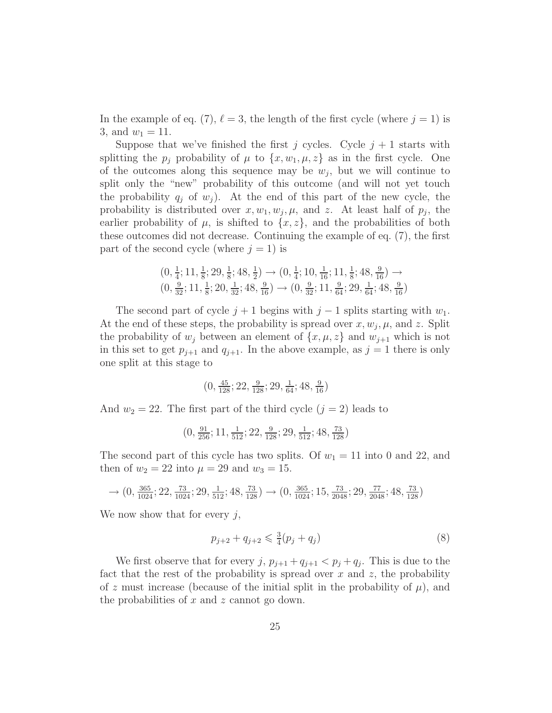In the example of eq. (7),  $\ell = 3$ , the length of the first cycle (where  $j = 1$ ) is 3, and  $w_1 = 11$ .

Suppose that we've finished the first j cycles. Cycle  $j + 1$  starts with splitting the  $p_j$  probability of  $\mu$  to  $\{x, w_1, \mu, z\}$  as in the first cycle. One of the outcomes along this sequence may be  $w_j$ , but we will continue to split only the "new" probability of this outcome (and will not yet touch the probability  $q_i$  of  $w_i$ ). At the end of this part of the new cycle, the probability is distributed over  $x, w_1, w_j, \mu$ , and z. At least half of  $p_j$ , the earlier probability of  $\mu$ , is shifted to  $\{x, z\}$ , and the probabilities of both these outcomes did not decrease. Continuing the example of eq. (7), the first part of the second cycle (where  $j = 1$ ) is

$$
\begin{array}{c} (0, \frac{1}{4}; 11, \frac{1}{8}; 29, \frac{1}{8}; 48, \frac{1}{2}) \rightarrow (0, \frac{1}{4}; 10, \frac{1}{16}; 11, \frac{1}{8}; 48, \frac{9}{16}) \rightarrow \\ (0, \frac{9}{32}; 11, \frac{1}{8}; 20, \frac{1}{32}; 48, \frac{9}{16}) \rightarrow (0, \frac{9}{32}; 11, \frac{9}{64}; 29, \frac{1}{64}; 48, \frac{9}{16}) \end{array}
$$

The second part of cycle  $j + 1$  begins with  $j - 1$  splits starting with  $w_1$ . At the end of these steps, the probability is spread over  $x, w_j, \mu$ , and z. Split the probability of  $w_j$  between an element of  $\{x, \mu, z\}$  and  $w_{j+1}$  which is not in this set to get  $p_{j+1}$  and  $q_{j+1}$ . In the above example, as  $j = 1$  there is only one split at this stage to

$$
\big(0, \tfrac{45}{128}; 22, \tfrac{9}{128}; 29, \tfrac{1}{64}; 48, \tfrac{9}{16}\big)
$$

And  $w_2 = 22$ . The first part of the third cycle  $(j = 2)$  leads to

$$
(0, \frac{91}{256}; 11, \frac{1}{512}; 22, \frac{9}{128}; 29, \frac{1}{512}; 48, \frac{73}{128})
$$

The second part of this cycle has two splits. Of  $w_1 = 11$  into 0 and 22, and then of  $w_2 = 22$  into  $\mu = 29$  and  $w_3 = 15$ .

$$
\longrightarrow (0,\tfrac{365}{1024};22,\tfrac{73}{1024};29,\tfrac{1}{512};48,\tfrac{73}{128}) \longrightarrow (0,\tfrac{365}{1024};15,\tfrac{73}{2048};29,\tfrac{77}{2048};48,\tfrac{73}{128})
$$

We now show that for every  $j$ ,

$$
p_{j+2} + q_{j+2} \leq \frac{3}{4}(p_j + q_j)
$$
\n(8)

We first observe that for every  $j, p_{j+1} + q_{j+1} < p_j + q_j$ . This is due to the fact that the rest of the probability is spread over  $x$  and  $z$ , the probability of z must increase (because of the initial split in the probability of  $\mu$ ), and the probabilities of  $x$  and  $z$  cannot go down.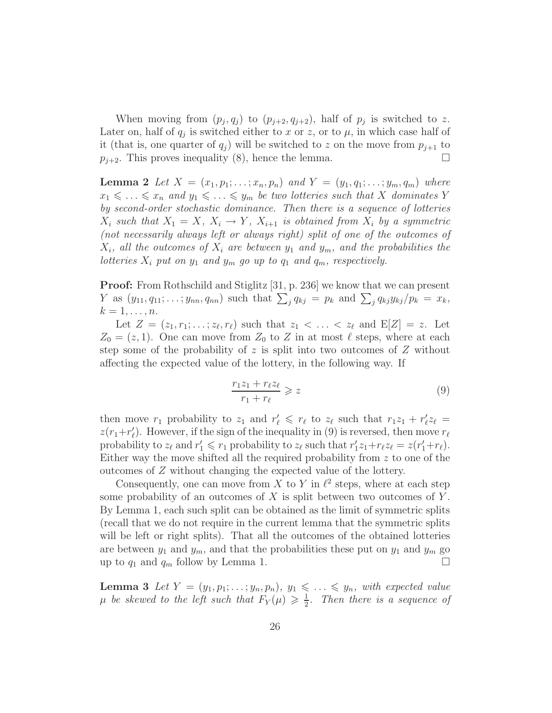When moving from  $(p_j, q_j)$  to  $(p_{j+2}, q_{j+2})$ , half of  $p_j$  is switched to z. Later on, half of  $q_j$  is switched either to x or z, or to  $\mu$ , in which case half of it (that is, one quarter of  $q_i$ ) will be switched to z on the move from  $p_{i+1}$  to  $p_{j+2}$ . This proves inequality (8), hence the lemma.

**Lemma 2** Let  $X = (x_1, p_1; \ldots; x_n, p_n)$  and  $Y = (y_1, q_1; \ldots; y_m, q_m)$  where  $x_1 \leq \ldots \leq x_n$  and  $y_1 \leq \ldots \leq y_m$  be two lotteries such that X dominates Y *by second-order stochastic dominance. Then there is a sequence of lotteries*  $X_i$  *such that*  $X_1 = X$ *,*  $X_i \rightarrow Y$ *,*  $X_{i+1}$  *is obtained from*  $X_i$  *by a symmetric (not necessarily always left or always right) split of one of the outcomes of*  $X_i$ , all the outcomes of  $X_i$  are between  $y_1$  and  $y_m$ , and the probabilities the *lotteries*  $X_i$  *put on*  $y_1$  *and*  $y_m$  *go up to*  $q_1$  *and*  $q_m$ *, respectively.* 

Proof: From Rothschild and Stiglitz [31, p. 236] we know that we can present Y as  $(y_{11}, q_{11}; \ldots; y_{nn}, q_{nn})$  such that  $\sum_j q_{kj} = p_k$  and  $\sum_j q_{kj} y_{kj} / p_k = x_k$ ,  $k=1,\ldots,n.$ 

Let  $Z = (z_1, r_1; \ldots; z_\ell, r_\ell)$  such that  $z_1 < \ldots < z_\ell$  and  $E[Z] = z$ . Let  $Z_0 = (z, 1)$ . One can move from  $Z_0$  to Z in at most  $\ell$  steps, where at each step some of the probability of z is split into two outcomes of  $Z$  without affecting the expected value of the lottery, in the following way. If

$$
\frac{r_1 z_1 + r_\ell z_\ell}{r_1 + r_\ell} \geqslant z \tag{9}
$$

then move  $r_1$  probability to  $z_1$  and  $r'_\ell \leq r_\ell$  to  $z_\ell$  such that  $r_1z_1 + r'_\ell z_\ell =$  $z(r_1+r'_\ell)$ . However, if the sign of the inequality in (9) is reversed, then move  $r_\ell$ probability to  $z_{\ell}$  and  $r'_1 \leq r_1$  probability to  $z_{\ell}$  such that  $r'_1 z_1 + r_{\ell} z_{\ell} = z(r'_1 + r_{\ell}).$ Either way the move shifted all the required probability from z to one of the outcomes of Z without changing the expected value of the lottery.

Consequently, one can move from X to Y in  $\ell^2$  steps, where at each step some probability of an outcomes of  $X$  is split between two outcomes of  $Y$ . By Lemma 1, each such split can be obtained as the limit of symmetric splits (recall that we do not require in the current lemma that the symmetric splits will be left or right splits). That all the outcomes of the obtained lotteries are between  $y_1$  and  $y_m$ , and that the probabilities these put on  $y_1$  and  $y_m$  go up to  $q_1$  and  $q_m$  follow by Lemma 1.

**Lemma 3** Let  $Y = (y_1, p_1; \ldots; y_n, p_n)$ ,  $y_1 \leq \ldots \leq y_n$ , with expected value  $\mu$  be skewed to the left such that  $F_Y(\mu) \geq \frac{1}{2}$  $\frac{1}{2}$ . Then there is a sequence of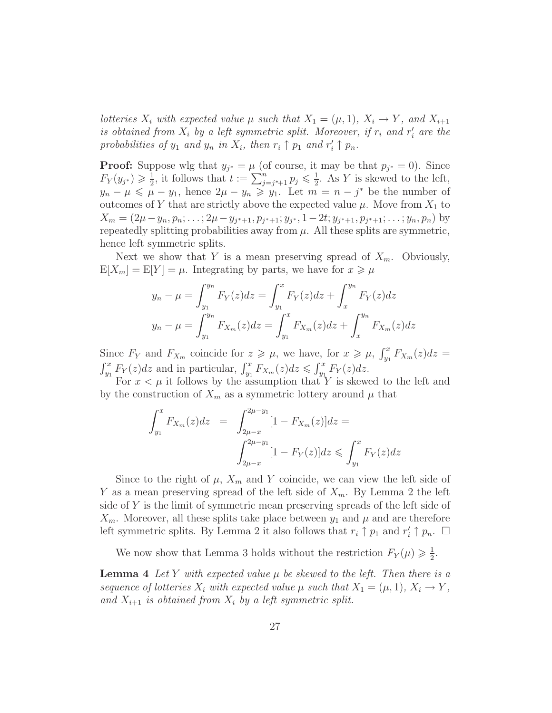*lotteries*  $X_i$  *with expected value*  $\mu$  *such that*  $X_1 = (\mu, 1)$ *,*  $X_i \rightarrow Y$ *, and*  $X_{i+1}$ *is obtained from*  $X_i$  *by a left symmetric split. Moreover, if*  $r_i$  *and*  $r'_i$  *are the* probabilities of  $y_1$  and  $y_n$  in  $X_i$ , then  $r_i \uparrow p_1$  and  $r'_i \uparrow p_n$ .

**Proof:** Suppose wlg that  $y_{j^*} = \mu$  (of course, it may be that  $p_{j^*} = 0$ ). Since  $F_Y(y_{j^*}) \geqslant \frac{1}{2}$  $\frac{1}{2}$ , it follows that  $t := \sum_{j=j^*+1}^{n} p_j \leqslant \frac{1}{2}$  $\frac{1}{2}$ . As Y is skewed to the left,  $y_n - \mu \leq \mu - y_1$ , hence  $2\mu - y_n \geq y_1$ . Let  $m = n - j^*$  be the number of outcomes of Y that are strictly above the expected value  $\mu$ . Move from  $X_1$  to  $X_m = (2\mu - y_n, p_n; \ldots; 2\mu - y_{j^*+1}, p_{j^*+1}; y_{j^*}, 1 - 2t; y_{j^*+1}, p_{j^*+1}; \ldots; y_n, p_n)$  by repeatedly splitting probabilities away from  $\mu$ . All these splits are symmetric, hence left symmetric splits.

Next we show that Y is a mean preserving spread of  $X_m$ . Obviously,  $E[X_m] = E[Y] = \mu$ . Integrating by parts, we have for  $x \ge \mu$ 

$$
y_n - \mu = \int_{y_1}^{y_n} F_Y(z) dz = \int_{y_1}^{x} F_Y(z) dz + \int_{x}^{y_n} F_Y(z) dz
$$
  

$$
y_n - \mu = \int_{y_1}^{y_n} F_{X_m}(z) dz = \int_{y_1}^{x} F_{X_m}(z) dz + \int_{x}^{y_n} F_{X_m}(z) dz
$$

Since  $F_Y$  and  $F_{X_m}$  coincide for  $z \geq \mu$ , we have, for  $x \geq \mu$ ,  $\int_{y_1}^x F_{X_m}(z) dz =$  $\int_{y_1}^x F_Y(z)dz$  and in particular,  $\int_{y_1}^x F_{X_m}(z)dz \leq \int_{y_1}^x F_Y(z)dz$ .

For  $x < \mu$  it follows by the assumption that Y is skewed to the left and by the construction of  $X_m$  as a symmetric lottery around  $\mu$  that

$$
\int_{y_1}^{x} F_{X_m}(z) dz = \int_{2\mu - x}^{2\mu - y_1} [1 - F_{X_m}(z)] dz =
$$

$$
\int_{2\mu - x}^{2\mu - y_1} [1 - F_Y(z)] dz \le \int_{y_1}^{x} F_Y(z) dz
$$

Since to the right of  $\mu$ ,  $X_m$  and Y coincide, we can view the left side of Y as a mean preserving spread of the left side of  $X_m$ . By Lemma 2 the left side of Y is the limit of symmetric mean preserving spreads of the left side of  $X_m$ . Moreover, all these splits take place between  $y_1$  and  $\mu$  and are therefore left symmetric splits. By Lemma 2 it also follows that  $r_i \uparrow p_1$  and  $r'_i \uparrow p_n$ .  $\Box$ 

We now show that Lemma 3 holds without the restriction  $F_Y(\mu) \geq \frac{1}{2}$  $\frac{1}{2}$ .

**Lemma 4** Let Y with expected value  $\mu$  be skewed to the left. Then there is a *sequence of lotteries*  $X_i$  *with expected value*  $\mu$  *such that*  $X_1 = (\mu, 1), X_i \rightarrow Y$ *,* and  $X_{i+1}$  *is obtained from*  $X_i$  *by a left symmetric split.*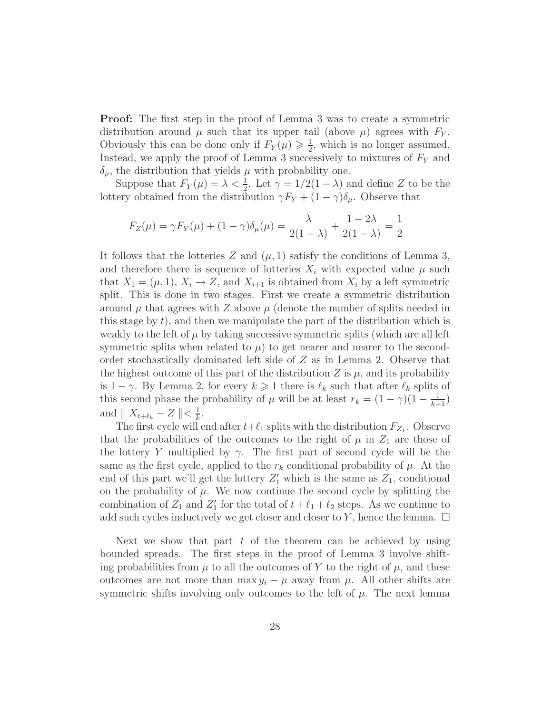Proof: The first step in the proof of Lemma 3 was to create a symmetric distribution around  $\mu$  such that its upper tail (above  $\mu$ ) agrees with  $F_Y$ . Obviously this can be done only if  $F_Y(\mu) \geq \frac{1}{2}$  $\frac{1}{2}$ , which is no longer assumed. Instead, we apply the proof of Lemma 3 successively to mixtures of  $F<sub>Y</sub>$  and  $\delta_{\mu}$ , the distribution that yields  $\mu$  with probability one.

Suppose that  $F_Y(\mu) = \lambda < \frac{1}{2}$ . Let  $\gamma = 1/2(1-\lambda)$  and define Z to be the lottery obtained from the distribution  $\gamma F_Y + (1 - \gamma)\delta_\mu$ . Observe that

$$
F_Z(\mu) = \gamma F_Y(\mu) + (1 - \gamma)\delta_\mu(\mu) = \frac{\lambda}{2(1 - \lambda)} + \frac{1 - 2\lambda}{2(1 - \lambda)} = \frac{1}{2}
$$

It follows that the lotteries Z and  $(\mu, 1)$  satisfy the conditions of Lemma 3, and therefore there is sequence of lotteries  $X_i$  with expected value  $\mu$  such that  $X_1 = (\mu, 1), X_i \to Z$ , and  $X_{i+1}$  is obtained from  $X_i$  by a left symmetric split. This is done in two stages. First we create a symmetric distribution around  $\mu$  that agrees with Z above  $\mu$  (denote the number of splits needed in this stage by  $t$ , and then we manipulate the part of the distribution which is weakly to the left of  $\mu$  by taking successive symmetric splits (which are all left symmetric splits when related to  $\mu$ ) to get nearer and nearer to the secondorder stochastically dominated left side of Z as in Lemma 2. Observe that the highest outcome of this part of the distribution  $Z$  is  $\mu$ , and its probability is  $1 - \gamma$ . By Lemma 2, for every  $k \geq 1$  there is  $\ell_k$  such that after  $\ell_k$  splits of this second phase the probability of  $\mu$  will be at least  $r_k = (1 - \gamma)(1 - \frac{1}{k+1})$ and  $\parallel X_{t+\ell_k} - Z \parallel < \frac{1}{k}$  $\frac{1}{k}$ .

The first cycle will end after  $t+\ell_1$  splits with the distribution  $F_{Z_1}$ . Observe that the probabilities of the outcomes to the right of  $\mu$  in  $Z_1$  are those of the lottery Y multiplied by  $\gamma$ . The first part of second cycle will be the same as the first cycle, applied to the  $r_k$  conditional probability of  $\mu$ . At the end of this part we'll get the lottery  $Z'_1$  which is the same as  $Z_1$ , conditional on the probability of  $\mu$ . We now continue the second cycle by splitting the combination of  $Z_1$  and  $Z'_1$  for the total of  $t + \ell_1 + \ell_2$  steps. As we continue to add such cycles inductively we get closer and closer to Y, hence the lemma.  $\Box$ 

Next we show that part *1* of the theorem can be achieved by using bounded spreads. The first steps in the proof of Lemma 3 involve shifting probabilities from  $\mu$  to all the outcomes of Y to the right of  $\mu$ , and these outcomes are not more than max  $y_i - \mu$  away from  $\mu$ . All other shifts are symmetric shifts involving only outcomes to the left of  $\mu$ . The next lemma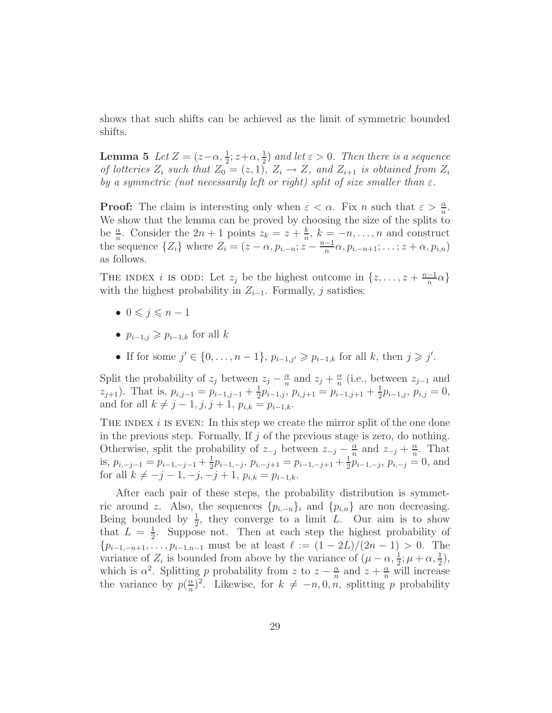shows that such shifts can be achieved as the limit of symmetric bounded shifts.

**Lemma 5** Let  $Z = (z - \alpha, \frac{1}{2}; z + \alpha, \frac{1}{2})$  and let  $\varepsilon > 0$ . Then there is a sequence *of lotteries*  $Z_i$  *such that*  $Z_0 = (z, 1), Z_i \rightarrow Z$ *, and*  $Z_{i+1}$  *is obtained from*  $Z_i$ *by a symmetric (not necessarily left or right) split of size smaller than*  $\varepsilon$ .

**Proof:** The claim is interesting only when  $\varepsilon < \alpha$ . Fix n such that  $\varepsilon > \frac{\alpha}{n}$ . We show that the lemma can be proved by choosing the size of the splits to be  $\frac{\alpha}{n}$ . Consider the  $2n + 1$  points  $z_k = z + \frac{k}{n}$  $\frac{k}{n}$ ,  $k = -n, \ldots, n$  and construct the sequence  $\{Z_i\}$  where  $Z_i = (z - \alpha, p_{i,-n}; z - \frac{n-1}{n})$  $\frac{-1}{n}\alpha, p_{i,-n+1}; \ldots; z+\alpha, p_{i,n})$ as follows.

THE INDEX *i* IS ODD: Let  $z_j$  be the highest outcome in  $\{z, \ldots, z + \frac{n-1}{n}\}$  $\frac{-1}{n}\alpha\}$ with the highest probability in  $Z_{i-1}$ . Formally, j satisfies:

- $\bullet \ 0 \leqslant i \leqslant n-1$
- $p_{i-1,j} \geqslant p_{i-1,k}$  for all k
- If for some  $j' \in \{0, ..., n-1\}$ ,  $p_{i-1,j'} \geq p_{i-1,k}$  for all k, then  $j \geq j'$ .

Split the probability of  $z_j$  between  $z_j - \frac{\alpha}{n}$  $\frac{\alpha}{n}$  and  $z_j + \frac{\alpha}{n}$  $\frac{\alpha}{n}$  (i.e., between  $z_{j-1}$  and  $z_{j+1}$ ). That is,  $p_{i,j-1} = p_{i-1,j-1} + \frac{1}{2}$  $\frac{1}{2}p_{i-1,j}, p_{i,j+1} = p_{i-1,j+1} + \frac{1}{2}$  $rac{1}{2}p_{i-1,j}, p_{i,j}=0,$ and for all  $k \neq j - 1, j, j + 1, p_{i,k} = p_{i-1,k}$ .

THE INDEX  $i$  is even: In this step we create the mirror split of the one done in the previous step. Formally, If  $j$  of the previous stage is zero, do nothing. Otherwise, split the probability of  $z_{-j}$  between  $z_{-j} - \frac{\alpha}{n}$  $\frac{\alpha}{n}$  and  $z_{-j} + \frac{\alpha}{n}$  $\frac{\alpha}{n}$ . That is,  $p_{i,-j-1} = p_{i-1,-j-1} + \frac{1}{2}$  $\frac{1}{2}p_{i-1,-j}, p_{i,-j+1} = p_{i-1,-j+1} + \frac{1}{2}$  $\frac{1}{2}p_{i-1,-j}, p_{i,-j} = 0$ , and for all  $k \neq -j - 1, -j, -j + 1, p_{i,k} = p_{i-1,k}$ .

After each pair of these steps, the probability distribution is symmetric around z. Also, the sequences  $\{p_{i,-n}\}\$  and  $\{p_{i,n}\}\$  are non decreasing. Being bounded by  $\frac{1}{2}$ , they converge to a limit L. Our aim is to show that  $L = \frac{1}{2}$  $\frac{1}{2}$ . Suppose not. Then at each step the highest probability of  ${p_{i-1,-n+1}, \ldots, p_{i-1,n-1}}$  must be at least  $\ell := (1 - 2L)/(2n - 1) > 0$ . The variance of  $Z_i$  is bounded from above by the variance of  $(\mu - \alpha, \frac{1}{2}; \mu + \alpha, \frac{1}{2})$ , which is  $\alpha^2$ . Splitting p probability from z to  $z - \frac{\alpha}{n}$  $\frac{\alpha}{n}$  and  $z + \frac{\alpha}{n}$  will increase the variance by  $p(\frac{\alpha}{n})$  $\frac{\alpha}{n}$ <sup>2</sup>. Likewise, for  $k \neq -n, 0, n$ , splitting p probability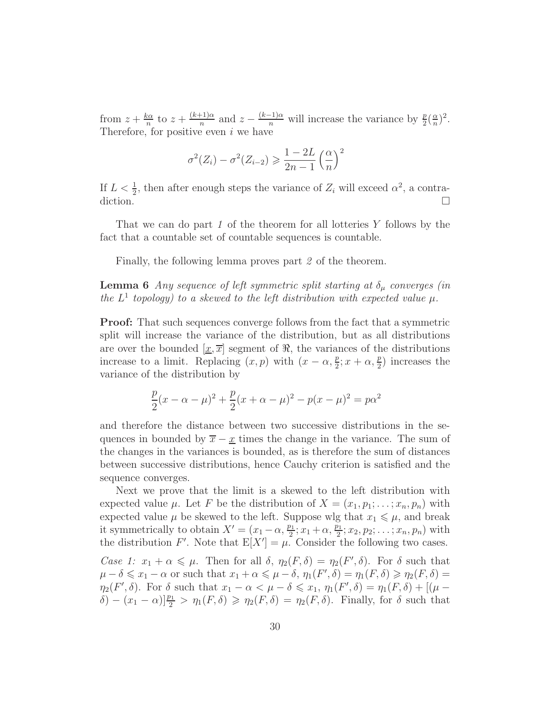from  $z + \frac{k\alpha}{n}$  $rac{c\alpha}{n}$  to  $z + \frac{(k+1)\alpha}{n}$  $\frac{p+1}{n}$  and  $z - \frac{(k-1)\alpha}{n}$  will increase the variance by  $\frac{p}{2}(\frac{\alpha}{n})$  $\frac{\alpha}{n})^2$ . Therefore, for positive even  $i$  we have

$$
\sigma^{2}(Z_i) - \sigma^{2}(Z_{i-2}) \geqslant \frac{1 - 2L}{2n - 1} \left(\frac{\alpha}{n}\right)^{2}
$$

If  $L < \frac{1}{2}$ , then after enough steps the variance of  $Z_i$  will exceed  $\alpha^2$ , a contradiction.  $\Box$ 

That we can do part *1* of the theorem for all lotteries Y follows by the fact that a countable set of countable sequences is countable.

Finally, the following lemma proves part *2* of the theorem.

**Lemma 6** *Any sequence of left symmetric split starting at*  $\delta_{\mu}$  *converges (in* the  $L^1$  topology) to a skewed to the left distribution with expected value  $\mu$ .

Proof: That such sequences converge follows from the fact that a symmetric split will increase the variance of the distribution, but as all distributions are over the bounded  $\left[\underline{x}, \overline{x}\right]$  segment of  $\Re$ , the variances of the distributions increase to a limit. Replacing  $(x, p)$  with  $(x - \alpha, \frac{p}{2}; x + \alpha, \frac{p}{2})$  increases the variance of the distribution by

$$
\frac{p}{2}(x - \alpha - \mu)^2 + \frac{p}{2}(x + \alpha - \mu)^2 - p(x - \mu)^2 = p\alpha^2
$$

and therefore the distance between two successive distributions in the sequences in bounded by  $\bar{x} - \underline{x}$  times the change in the variance. The sum of the changes in the variances is bounded, as is therefore the sum of distances between successive distributions, hence Cauchy criterion is satisfied and the sequence converges.

Next we prove that the limit is a skewed to the left distribution with expected value  $\mu$ . Let F be the distribution of  $X = (x_1, p_1; \ldots; x_n, p_n)$  with expected value  $\mu$  be skewed to the left. Suppose wlg that  $x_1 \leq \mu$ , and break it symmetrically to obtain  $X' = (x_1 - \alpha, \frac{p_1}{2}; x_1 + \alpha, \frac{p_1}{2}; x_2, p_2; \dots; x_n, p_n)$  with the distribution F'. Note that  $E[X'] = \mu$ . Consider the following two cases.

*Case 1:*  $x_1 + \alpha \leq \mu$ . Then for all  $\delta$ ,  $\eta_2(F, \delta) = \eta_2(F', \delta)$ . For  $\delta$  such that  $\mu - \delta \leqslant x_1 - \alpha$  or such that  $x_1 + \alpha \leqslant \mu - \delta$ ,  $\eta_1(F', \delta) = \eta_1(F, \delta) \geqslant \eta_2(F, \delta) =$  $\eta_2(F',\delta)$ . For  $\delta$  such that  $x_1 - \alpha < \mu - \delta \leq x_1, \eta_1(F',\delta) = \eta_1(F,\delta) + [(\mu - \delta) \delta]$  $\delta$ ) –  $(x_1 - \alpha) \frac{p_1}{2} > \eta_1(F, \delta) \geq \eta_2(F, \delta) = \eta_2(F, \delta)$ . Finally, for  $\delta$  such that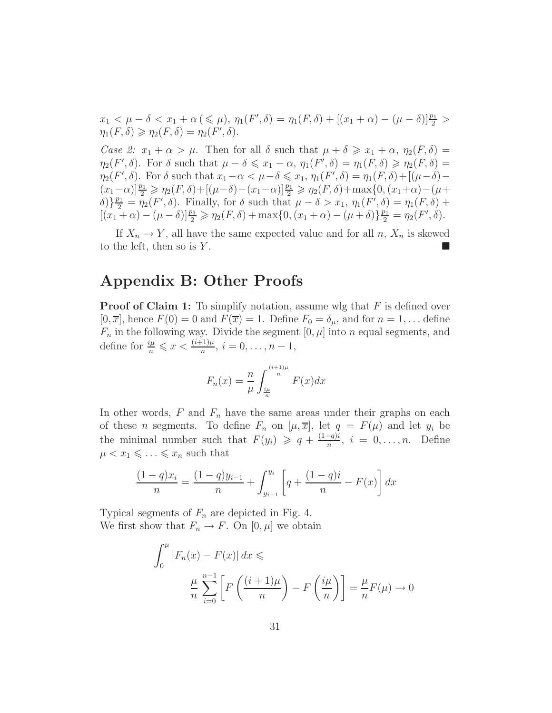$$
x_1 < \mu - \delta < x_1 + \alpha \leq \mu
$$
,  $\eta_1(F', \delta) = \eta_1(F, \delta) + [(x_1 + \alpha) - (\mu - \delta)]\frac{p_1}{2} > \eta_1(F, \delta) \geq \eta_2(F, \delta) = \eta_2(F', \delta).$ 

*Case 2:*  $x_1 + \alpha > \mu$ . Then for all  $\delta$  such that  $\mu + \delta \geq x_1 + \alpha$ ,  $\eta_2(F, \delta) =$  $\eta_2(F', \delta)$ . For  $\delta$  such that  $\mu - \delta \leqslant x_1 - \alpha$ ,  $\eta_1(F', \delta) = \eta_1(F, \delta) \geqslant \eta_2(F, \delta) =$  $\eta_2(F',\delta)$ . For  $\delta$  such that  $x_1-\alpha < \mu-\delta \leqslant x_1$ ,  $\eta_1(F',\delta) = \eta_1(F,\delta) + [(\mu-\delta) (x_1 - \alpha)\left[\frac{p_1}{2}\right] \geq \eta_2(F,\delta) + \left[ (\mu - \delta) - (x_1 - \alpha)\right] \frac{p_1}{2} \geq \eta_2(F,\delta) + \max\{0, (x_1 + \alpha) - (\mu + \delta)\}$  $\{\delta\}$ } $\frac{p_1}{2} = \eta_2(F', \delta)$ . Finally, for  $\delta$  such that  $\mu - \delta > x_1$ ,  $\eta_1(F', \delta) = \eta_1(F, \delta) + \delta$ .  $[(x_1 + \alpha) - (\mu - \delta)]\frac{p_1}{2} \geq \eta_2(F, \delta) + \max\{0, (x_1 + \alpha) - (\mu + \delta)\}\frac{p_1}{2} = \eta_2(F', \delta).$ 

If  $X_n \to Y$ , all have the same expected value and for all n,  $X_n$  is skewed to the left, then so is  $Y$ .

# Appendix B: Other Proofs

**Proof of Claim 1:** To simplify notation, assume wlg that  $F$  is defined over  $[0, \overline{x}]$ , hence  $F(0) = 0$  and  $F(\overline{x}) = 1$ . Define  $F_0 = \delta_\mu$ , and for  $n = 1, \ldots$  define  $F_n$  in the following way. Divide the segment  $[0, \mu]$  into n equal segments, and define for  $\frac{i\mu}{n} \leqslant x < \frac{(i+1)\mu}{n}, i = 0, \ldots, n-1$ ,

$$
F_n(x) = \frac{n}{\mu} \int_{\frac{i\mu}{n}}^{\frac{(i+1)\mu}{n}} F(x) dx
$$

In other words,  $F$  and  $F_n$  have the same areas under their graphs on each of these *n* segments. To define  $F_n$  on  $[\mu, \overline{x}]$ , let  $q = F(\mu)$  and let  $y_i$  be the minimal number such that  $F(y_i) \geqslant q + \frac{(1-q)i}{n}$  $\frac{-q_{ji}}{n}, i = 0, \ldots, n.$  Define  $\mu < x_1 \leqslant \ldots \leqslant x_n$  such that

$$
\frac{(1-q)x_i}{n} = \frac{(1-q)y_{i-1}}{n} + \int_{y_{i-1}}^{y_i} \left[ q + \frac{(1-q)i}{n} - F(x) \right] dx
$$

Typical segments of  $F_n$  are depicted in Fig. 4. We first show that  $F_n \to F$ . On  $[0, \mu]$  we obtain

$$
\int_0^{\mu} |F_n(x) - F(x)| dx \le \frac{\mu}{n} \sum_{i=0}^{n-1} \left[ F\left(\frac{(i+1)\mu}{n}\right) - F\left(\frac{i\mu}{n}\right) \right] = \frac{\mu}{n} F(\mu) \to 0
$$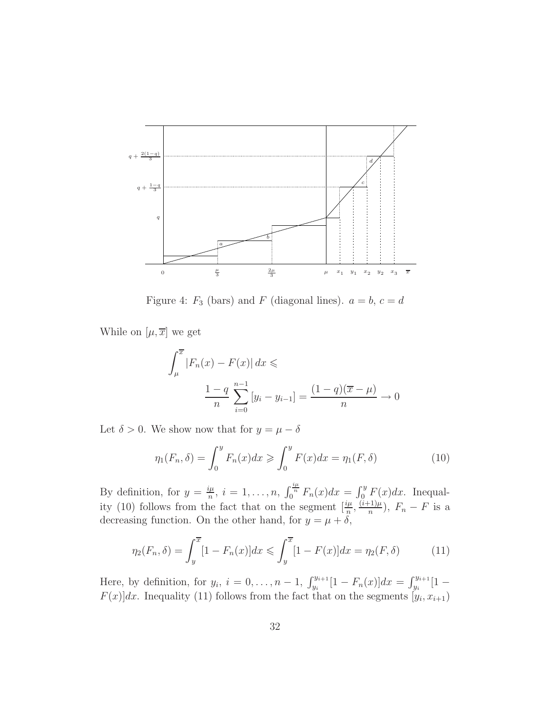

Figure 4:  $F_3$  (bars) and F (diagonal lines).  $a = b, c = d$ 

While on  $[\mu, \overline{x}]$  we get

$$
\int_{\mu}^{\overline{x}} |F_n(x) - F(x)| dx \le \frac{1 - q}{n} \sum_{i=0}^{n-1} [y_i - y_{i-1}] = \frac{(1 - q)(\overline{x} - \mu)}{n} \to 0
$$

Let  $\delta > 0$ . We show now that for  $y = \mu - \delta$ 

$$
\eta_1(F_n, \delta) = \int_0^y F_n(x) dx \ge \int_0^y F(x) dx = \eta_1(F, \delta)
$$
\n(10)

By definition, for  $y = \frac{i\mu}{n}$  $\frac{d\mu}{dx}$ ,  $i = 1, ..., n$ ,  $\int_0^{\frac{d\mu}{n}} F_n(x) dx = \int_0^y F(x) dx$ . Inequality (10) follows from the fact that on the segment  $\left[\frac{i\mu}{n}, \frac{(i+1)\mu}{n}\right]$  $\frac{(-1)\mu}{n}$ ),  $F_n - F$  is a decreasing function. On the other hand, for  $y = \mu + \delta$ ,

$$
\eta_2(F_n, \delta) = \int_y^{\overline{x}} [1 - F_n(x)] dx \le \int_y^{\overline{x}} [1 - F(x)] dx = \eta_2(F, \delta)
$$
 (11)

Here, by definition, for  $y_i$ ,  $i = 0, ..., n - 1$ ,  $\int_{y_i}^{y_{i+1}} [1 - F_n(x)] dx = \int_{y_i}^{y_{i+1}} [1 - F_n(x)] dx$  $F(x)$ ]dx. Inequality (11) follows from the fact that on the segments  $[y_i, x_{i+1})$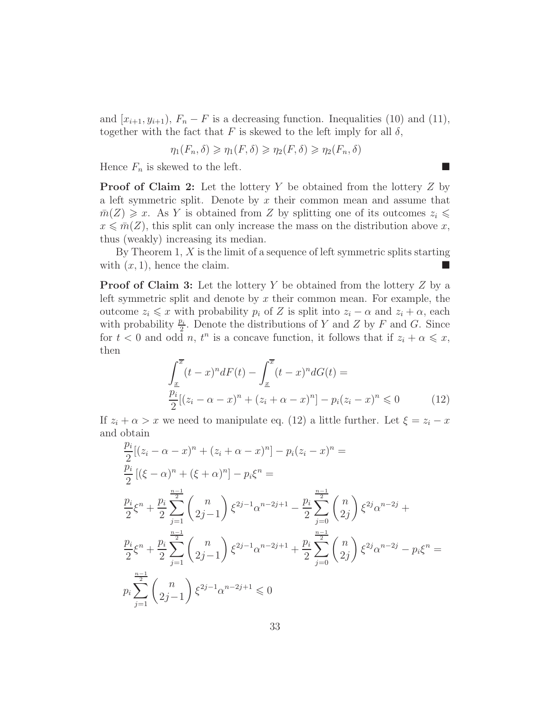and  $[x_{i+1}, y_{i+1}), F_n - F$  is a decreasing function. Inequalities (10) and (11), together with the fact that F is skewed to the left imply for all  $\delta$ ,

$$
\eta_1(F_n, \delta) \geq \eta_1(F, \delta) \geq \eta_2(F, \delta) \geq \eta_2(F_n, \delta)
$$

Hence  $F_n$  is skewed to the left.

**Proof of Claim 2:** Let the lottery Y be obtained from the lottery  $Z$  by a left symmetric split. Denote by  $x$  their common mean and assume that  $m(Z) \geq x$ . As Y is obtained from Z by splitting one of its outcomes  $z_i \leq$  $x \leq \overline{m}(Z)$ , this split can only increase the mass on the distribution above x, thus (weakly) increasing its median.

By Theorem  $1, X$  is the limit of a sequence of left symmetric splits starting with  $(x, 1)$ , hence the claim.

**Proof of Claim 3:** Let the lottery Y be obtained from the lottery  $Z$  by a left symmetric split and denote by  $x$  their common mean. For example, the outcome  $z_i \leq x$  with probability  $p_i$  of Z is split into  $z_i - \alpha$  and  $z_i + \alpha$ , each with probability  $\frac{p_i}{2}$ . Denote the distributions of Y and Z by F and G. Since for  $t < 0$  and odd n,  $t^n$  is a concave function, it follows that if  $z_i + \alpha \leqslant x$ , then

$$
\int_{\frac{x}{2}}^{\overline{x}} (t-x)^n dF(t) - \int_{\frac{x}{2}}^{\overline{x}} (t-x)^n dG(t) =
$$
\n
$$
\frac{p_i}{2} [(z_i - \alpha - x)^n + (z_i + \alpha - x)^n] - p_i (z_i - x)^n \leq 0
$$
\n(12)

If  $z_i + \alpha > x$  we need to manipulate eq. (12) a little further. Let  $\xi = z_i - x$ and obtain

$$
\frac{p_i}{2}[(z_i - \alpha - x)^n + (z_i + \alpha - x)^n] - p_i(z_i - x)^n =
$$
\n
$$
\frac{p_i}{2}[(\xi - \alpha)^n + (\xi + \alpha)^n] - p_i\xi^n =
$$
\n
$$
\frac{p_i}{2}\xi^n + \frac{p_i}{2}\sum_{j=1}^{\frac{n-1}{2}} \binom{n}{2j-1} \xi^{2j-1}\alpha^{n-2j+1} - \frac{p_i}{2}\sum_{j=0}^{\frac{n-1}{2}} \binom{n}{2j} \xi^{2j}\alpha^{n-2j} +
$$
\n
$$
\frac{p_i}{2}\xi^n + \frac{p_i}{2}\sum_{j=1}^{\frac{n-1}{2}} \binom{n}{2j-1} \xi^{2j-1}\alpha^{n-2j+1} + \frac{p_i}{2}\sum_{j=0}^{\frac{n-1}{2}} \binom{n}{2j} \xi^{2j}\alpha^{n-2j} - p_i\xi^n =
$$
\n
$$
p_i\sum_{j=1}^{\frac{n-1}{2}} \binom{n}{2j-1} \xi^{2j-1}\alpha^{n-2j+1} \leq 0
$$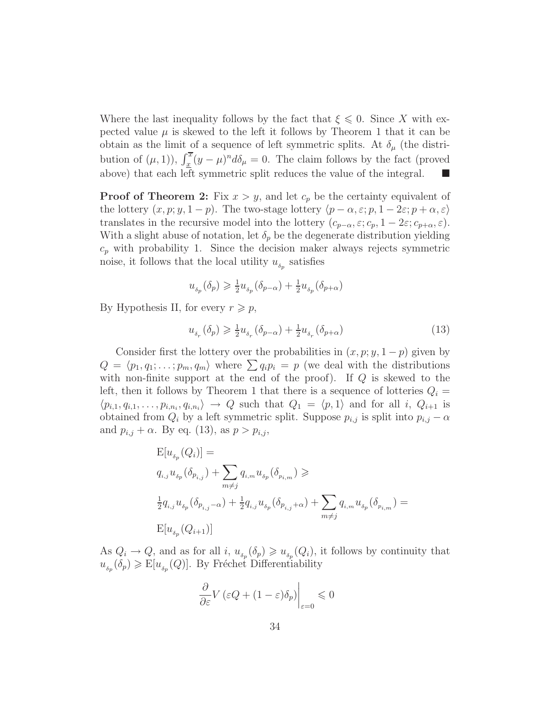Where the last inequality follows by the fact that  $\xi \leq 0$ . Since X with expected value  $\mu$  is skewed to the left it follows by Theorem 1 that it can be obtain as the limit of a sequence of left symmetric splits. At  $\delta_{\mu}$  (the distribution of  $(\mu, 1)$ ),  $\int_{\underline{x}}^{\overline{x}} (y - \mu)^n d\delta_\mu = 0$ . The claim follows by the fact (proved above) that each left symmetric split reduces the value of the integral.

**Proof of Theorem 2:** Fix  $x > y$ , and let  $c_p$  be the certainty equivalent of the lottery  $(x, p; y, 1-p)$ . The two-stage lottery  $\langle p - \alpha, \varepsilon; p, 1 - 2\varepsilon; p + \alpha, \varepsilon \rangle$ translates in the recursive model into the lottery  $(c_{p-\alpha}, \varepsilon; c_p, 1-2\varepsilon; c_{p+\alpha}, \varepsilon)$ . With a slight abuse of notation, let  $\delta_p$  be the degenerate distribution yielding  $c_p$  with probability 1. Since the decision maker always rejects symmetric noise, it follows that the local utility  $u_{\delta_p}$  satisfies

$$
u_{_{\delta_p}}(\delta_p)\geqslant \tfrac{1}{2}u_{_{\delta_p}}(\delta_{p-\alpha})+\tfrac{1}{2}u_{_{\delta_p}}(\delta_{p+\alpha})
$$

By Hypothesis II, for every  $r \geq p$ ,

$$
u_{\delta_r}(\delta_p) \geqslant \frac{1}{2}u_{\delta_r}(\delta_{p-\alpha}) + \frac{1}{2}u_{\delta_r}(\delta_{p+\alpha})
$$
\n<sup>(13)</sup>

Consider first the lottery over the probabilities in  $(x, p; y, 1-p)$  given by  $Q = \langle p_1, q_1; \ldots; p_m, q_m \rangle$  where  $\sum q_i p_i = p$  (we deal with the distributions with non-finite support at the end of the proof). If  $Q$  is skewed to the left, then it follows by Theorem 1 that there is a sequence of lotteries  $Q_i =$  $\langle p_{i,1}, q_{i,1}, \ldots, p_{i,n_i}, q_{i,n_i} \rangle \rightarrow Q$  such that  $Q_1 = \langle p, 1 \rangle$  and for all i,  $Q_{i+1}$  is obtained from  $Q_i$  by a left symmetric split. Suppose  $p_{i,j}$  is split into  $p_{i,j} - \alpha$ and  $p_{i,j} + \alpha$ . By eq. (13), as  $p > p_{i,j}$ ,

$$
\begin{aligned} &\mathbf{E}[u_{_{\delta_p}}(Q_i)] = \\ &q_{i,j}u_{_{\delta_p}}(\delta_{p_{i,j}}) + \sum_{m \neq j} q_{i,m}u_{_{\delta_p}}(\delta_{p_{i,m}}) \geqslant \\ &\frac{1}{2}q_{i,j}u_{_{\delta_p}}(\delta_{p_{i,j}-\alpha}) + \frac{1}{2}q_{i,j}u_{_{\delta_p}}(\delta_{p_{i,j}+\alpha}) + \sum_{m \neq j} q_{i,m}u_{_{\delta_p}}(\delta_{p_{i,m}}) = \\ &\mathbf{E}[u_{_{\delta_p}}(Q_{i+1})] \end{aligned}
$$

As  $Q_i \to Q$ , and as for all i,  $u_{\delta_p}(\delta_p) \geq u_{\delta_p}(Q_i)$ , it follows by continuity that  $u_{\delta_p}(\delta_p) \geqslant E[u_{\delta_p}(Q)]$ . By Fréchet Differentiability

$$
\left. \frac{\partial}{\partial \varepsilon} V \left( \varepsilon Q + (1 - \varepsilon) \delta_p \right) \right|_{\varepsilon = 0} \leq 0
$$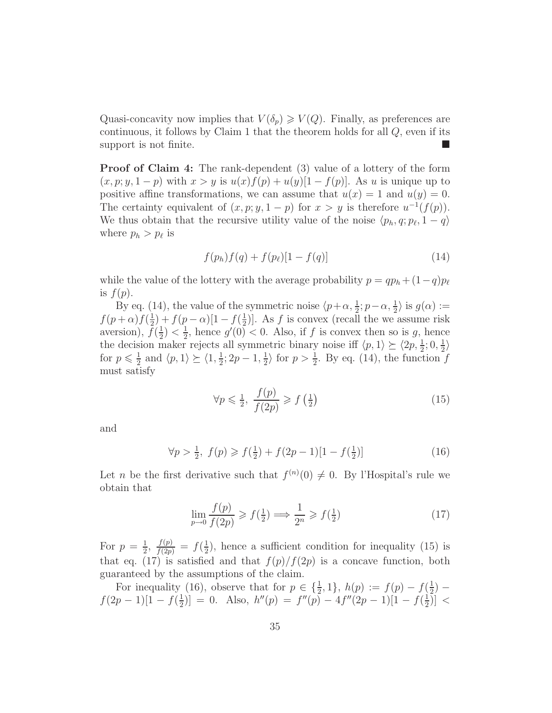Quasi-concavity now implies that  $V(\delta_n) \geq V(Q)$ . Finally, as preferences are continuous, it follows by Claim 1 that the theorem holds for all  $Q$ , even if its support is not finite.

Proof of Claim 4: The rank-dependent (3) value of a lottery of the form  $(x, p; y, 1-p)$  with  $x > y$  is  $u(x)f(p) + u(y)[1 - f(p)]$ . As u is unique up to positive affine transformations, we can assume that  $u(x) = 1$  and  $u(y) = 0$ . The certainty equivalent of  $(x, p; y, 1-p)$  for  $x > y$  is therefore  $u^{-1}(f(p))$ . We thus obtain that the recursive utility value of the noise  $\langle p_h, q; p_\ell, 1 - q \rangle$ where  $p_h > p_\ell$  is

$$
f(p_h)f(q) + f(p_\ell)[1 - f(q)] \tag{14}
$$

while the value of the lottery with the average probability  $p = qp_h + (1-q)p_\ell$ is  $f(p)$ .

By eq. (14), the value of the symmetric noise  $\langle p+\alpha, \frac{1}{2}; p-\alpha, \frac{1}{2} \rangle$  is  $g(\alpha) :=$  $f(p+\alpha)f(\frac{1}{2})$  $(\frac{1}{2}) + f(p - \alpha)[1 - f(\frac{1}{2})]$  $(\frac{1}{2})$ . As f is convex (recall the we assume risk aversion),  $\bar{f}(\frac{1}{2})$  $(\frac{1}{2}) < \frac{1}{2}$  $\frac{1}{2}$ , hence  $g'(0) < 0$ . Also, if f is convex then so is g, hence the decision maker rejects all symmetric binary noise iff  $\langle p, 1 \rangle \succeq \langle 2p, \frac{1}{2}; 0, \frac{1}{2} \rangle$  $\frac{1}{2}$ for  $p \leqslant \frac{1}{2}$  $\frac{1}{2}$  and  $\langle p, 1 \rangle \succeq \langle 1, \frac{1}{2} \rangle$  $\frac{1}{2}$ ; 2p - 1,  $\frac{1}{2}$  $\frac{1}{2}$  for  $p > \frac{1}{2}$ . By eq. (14), the function f must satisfy

$$
\forall p \leq \frac{1}{2}, \ \frac{f(p)}{f(2p)} \geqslant f\left(\frac{1}{2}\right) \tag{15}
$$

and

$$
\forall p > \frac{1}{2}, \ f(p) \geqslant f(\frac{1}{2}) + f(2p - 1)[1 - f(\frac{1}{2})] \tag{16}
$$

Let *n* be the first derivative such that  $f^{(n)}(0) \neq 0$ . By l'Hospital's rule we obtain that

$$
\lim_{p \to 0} \frac{f(p)}{f(2p)} \geqslant f\left(\frac{1}{2}\right) \Longrightarrow \frac{1}{2^n} \geqslant f\left(\frac{1}{2}\right) \tag{17}
$$

For  $p=\frac{1}{2}$  $\frac{1}{2}, \frac{f(p)}{f(2p)} = f(\frac{1}{2})$  $\frac{1}{2}$ , hence a sufficient condition for inequality (15) is that eq. (17) is satisfied and that  $f(p)/f(2p)$  is a concave function, both guaranteed by the assumptions of the claim.

For inequality (16), observe that for  $p \in \{\frac{1}{2}, 1\}$ ,  $h(p) := f(p) - f(\frac{1}{2})$  $(\frac{1}{2})$  $f(2p-1)[1-f(\frac{1}{2})]$  $\left[\frac{1}{2}\right]$ ] = 0. Also,  $h''(p) = f''(p) - 4f''(2p - 1)[1 - f(\frac{1}{2})]$  $(\frac{1}{2})] <$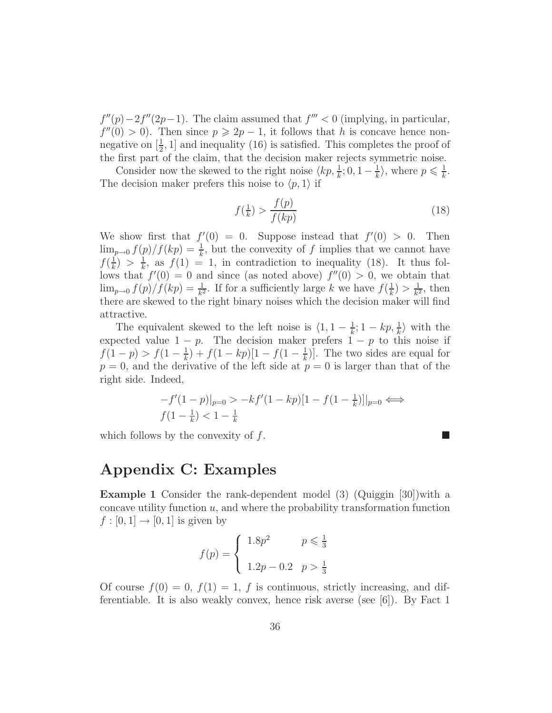$f''(p) - 2f''(2p-1)$ . The claim assumed that  $f''' < 0$  (implying, in particular,  $f''(0) > 0$ ). Then since  $p \ge 2p - 1$ , it follows that h is concave hence nonnegative on  $\left[\frac{1}{2}, 1\right]$  and inequality (16) is satisfied. This completes the proof of the first part of the claim, that the decision maker rejects symmetric noise.

Consider now the skewed to the right noise  $\langle kp, \frac{1}{k}, 0, 1-\frac{1}{k}\rangle$  $\frac{1}{k}$ , where  $p \leqslant \frac{1}{k}$  $\frac{1}{k}$ . The decision maker prefers this noise to  $\langle p, 1 \rangle$  if

$$
f(\frac{1}{k}) > \frac{f(p)}{f(kp)}\tag{18}
$$

We show first that  $f'(0) = 0$ . Suppose instead that  $f'(0) > 0$ . Then  $\lim_{p\to 0} f(p)/f(kp) = \frac{1}{k}$ , but the convexity of f implies that we cannot have  $f(\frac{1}{k})$  $\frac{1}{k}$ ) >  $\frac{1}{k}$  $\frac{1}{k}$ , as  $f(1) = 1$ , in contradiction to inequality (18). It thus follows that  $f'(0) = 0$  and since (as noted above)  $f''(0) > 0$ , we obtain that  $\lim_{p\to 0} f(p)/f(kp) = \frac{1}{k^2}$ . If for a sufficiently large k we have  $f(\frac{1}{k})$  $\frac{1}{k}) > \frac{1}{k^2}$  $\frac{1}{k^2}$ , then there are skewed to the right binary noises which the decision maker will find attractive.

The equivalent skewed to the left noise is  $\langle 1, 1 - \frac{1}{k} \rangle$  $\frac{1}{k}$ ; 1 – kp,  $\frac{1}{k}$  with the expected value  $1 - p$ . The decision maker prefers  $1 - p$  to this noise if  $f(1-p) > f(1-\frac{1}{k})$  $(\frac{1}{k}) + f(1 - kp)[1 - f(1 - \frac{1}{k})]$  $(\frac{1}{k})$ . The two sides are equal for  $p = 0$ , and the derivative of the left side at  $p = 0$  is larger than that of the right side. Indeed,

$$
-f'(1-p)|_{p=0} > -kf'(1-kp)[1 - f(1-\frac{1}{k})]|_{p=0} \iff
$$
  

$$
f(1-\frac{1}{k}) < 1-\frac{1}{k}
$$

which follows by the convexity of  $f$ .

### Appendix C: Examples

Example 1 Consider the rank-dependent model (3) (Quiggin [30])with a concave utility function  $u$ , and where the probability transformation function  $f : [0, 1] \rightarrow [0, 1]$  is given by

$$
f(p) = \begin{cases} 1.8p^2 & p \le \frac{1}{3} \\ 1.2p - 0.2 & p > \frac{1}{3} \end{cases}
$$

Of course  $f(0) = 0$ ,  $f(1) = 1$ , f is continuous, strictly increasing, and differentiable. It is also weakly convex, hence risk averse (see [6]). By Fact 1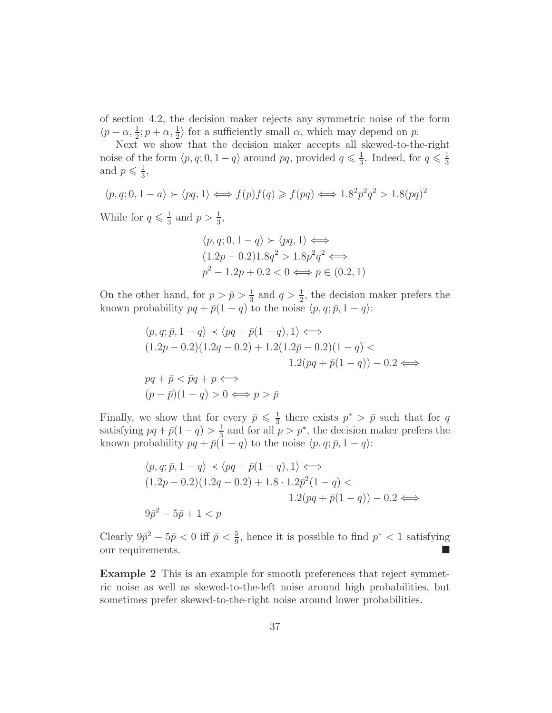of section 4.2, the decision maker rejects any symmetric noise of the form  $\langle p-\alpha, \frac{1}{2}; p+\alpha, \frac{1}{2} \rangle$  for a sufficiently small  $\alpha$ , which may depend on p.

Next we show that the decision maker accepts all skewed-to-the-right noise of the form  $\langle p, q; 0, 1 - q \rangle$  around pq, provided  $q \leq \frac{1}{3}$  $\frac{1}{3}$ . Indeed, for  $q \leq \frac{1}{3}$ 3 and  $p \leqslant \frac{1}{3}$  $\frac{1}{3}$ ,

$$
\langle p, q; 0, 1 - a \rangle \succ \langle pq, 1 \rangle \Longleftrightarrow f(p)f(q) \geqslant f(pq) \Longleftrightarrow 1.8^{2}p^{2}q^{2} > 1.8(pq)^{2}
$$

While for  $q \leq \frac{1}{3}$  $\frac{1}{3}$  and  $p > \frac{1}{3}$ ,

$$
\langle p, q; 0, 1 - q \rangle \rangle \langle pq, 1 \rangle \Longleftrightarrow
$$
  
(1.2p - 0.2)1.8q<sup>2</sup> > 1.8p<sup>2</sup>q<sup>2</sup>  $\Longleftrightarrow$   
p<sup>2</sup> - 1.2p + 0.2 < 0  $\Longleftrightarrow$  p \in (0.2, 1)

On the other hand, for  $p > \bar{p} > \frac{1}{3}$  $\frac{1}{3}$  and  $q > \frac{1}{2}$ , the decision maker prefers the known probability  $pq + \bar{p}(1 - q)$  to the noise  $\langle p, q; \bar{p}, 1 - q \rangle$ :

$$
\langle p, q; \bar{p}, 1 - q \rangle \prec \langle pq + \bar{p}(1 - q), 1 \rangle \Longleftrightarrow
$$
  
(1.2p - 0.2)(1.2q - 0.2) + 1.2(1.2\bar{p} - 0.2)(1 - q)   
1.2(pq + \bar{p}(1 - q)) - 0.2   
  
pq + \bar{p} < \bar{p}q + p \Longleftrightarrow  
(p - \bar{p})(1 - q) > 0 \Longleftrightarrow p > \bar{p}

Finally, we show that for every  $\bar{p} \leq \frac{1}{3}$  $\frac{1}{3}$  there exists  $p^* > \bar{p}$  such that for q satisfying  $pq + \bar{p}(1-q) > \frac{1}{3}$  $\frac{1}{3}$  and for all  $p > p^*$ , the decision maker prefers the known probability  $pq + \bar{p}(1 - q)$  to the noise  $\langle p, q; \bar{p}, 1 - q \rangle$ :

$$
\langle p, q; \bar{p}, 1 - q \rangle \prec \langle pq + \bar{p}(1 - q), 1 \rangle \Longleftrightarrow
$$
  

$$
(1.2p - 0.2)(1.2q - 0.2) + 1.8 \cdot 1.2\bar{p}^{2}(1 - q) <
$$
  

$$
1.2(pq + \bar{p}(1 - q)) - 0.2 \Longleftrightarrow
$$
  

$$
9\bar{p}^{2} - 5\bar{p} + 1 < p
$$

Clearly  $9\bar{p}^2 - 5\bar{p} < 0$  iff  $\bar{p} < \frac{5}{9}$ , hence it is possible to find  $p^* < 1$  satisfying our requirements.

Example 2 This is an example for smooth preferences that reject symmetric noise as well as skewed-to-the-left noise around high probabilities, but sometimes prefer skewed-to-the-right noise around lower probabilities.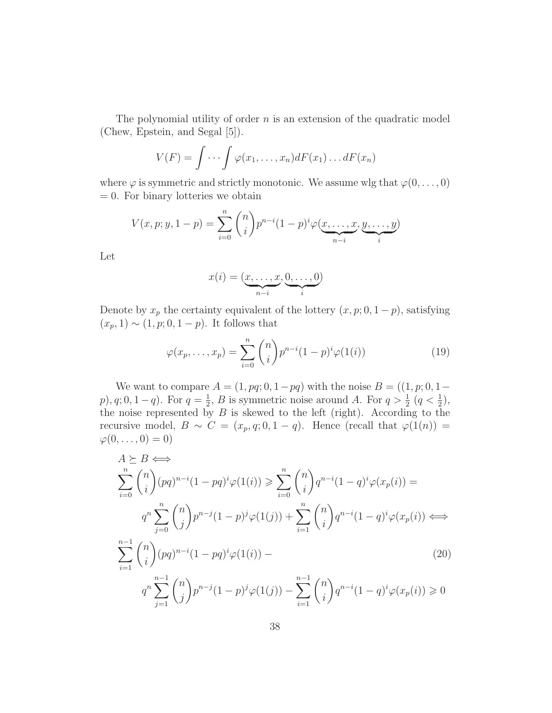The polynomial utility of order  $n$  is an extension of the quadratic model (Chew, Epstein, and Segal [5]).

$$
V(F) = \int \cdots \int \varphi(x_1, \ldots, x_n) dF(x_1) \ldots dF(x_n)
$$

where  $\varphi$  is symmetric and strictly monotonic. We assume wlg that  $\varphi(0,\ldots,0)$  $= 0$ . For binary lotteries we obtain

$$
V(x, p; y, 1-p) = \sum_{i=0}^{n} {n \choose i} p^{n-i} (1-p)^{i} \varphi(\underbrace{x, \dots, x}_{n-i}, \underbrace{y, \dots, y}_{i})
$$

Let

$$
x(i) = (\underbrace{x, \dots, x}_{n-i}, \underbrace{0, \dots, 0}_{i})
$$

Denote by  $x_p$  the certainty equivalent of the lottery  $(x, p; 0, 1-p)$ , satisfying  $(x_p, 1) \sim (1, p; 0, 1 - p)$ . It follows that

$$
\varphi(x_p,\ldots,x_p) = \sum_{i=0}^n \binom{n}{i} p^{n-i} (1-p)^i \varphi(1(i)) \tag{19}
$$

We want to compare  $A = (1, pq; 0, 1-pq)$  with the noise  $B = ((1, p; 0, 1-pq))$  $p)$ ,  $q$ ; 0, 1 –  $q$ ). For  $q = \frac{1}{2}$  $\frac{1}{2}$ , *B* is symmetric noise around *A*. For  $q > \frac{1}{2}$   $(q < \frac{1}{2})$ , the noise represented by  $B$  is skewed to the left (right). According to the recursive model,  $B \sim C = (x_p, q; 0, 1 - q)$ . Hence (recall that  $\varphi(1(n)) =$  $\varphi(0,\ldots,0)=0$ )

$$
A \geq B \Longleftrightarrow
$$
  
\n
$$
\sum_{i=0}^{n} {n \choose i} (pq)^{n-i} (1 - pq)^i \varphi(1(i)) \geq \sum_{i=0}^{n} {n \choose i} q^{n-i} (1 - q)^i \varphi(x_p(i)) =
$$
  
\n
$$
q^n \sum_{j=0}^{n} {n \choose j} p^{n-j} (1 - p)^j \varphi(1(j)) + \sum_{i=1}^{n} {n \choose i} q^{n-i} (1 - q)^i \varphi(x_p(i)) \Longleftrightarrow
$$
  
\n
$$
\sum_{i=1}^{n-1} {n \choose i} (pq)^{n-i} (1 - pq)^i \varphi(1(i)) -
$$
  
\n
$$
q^n \sum_{j=1}^{n-1} {n \choose j} p^{n-j} (1 - p)^j \varphi(1(j)) - \sum_{i=1}^{n-1} {n \choose i} q^{n-i} (1 - q)^i \varphi(x_p(i)) \geq 0
$$
  
\n(20)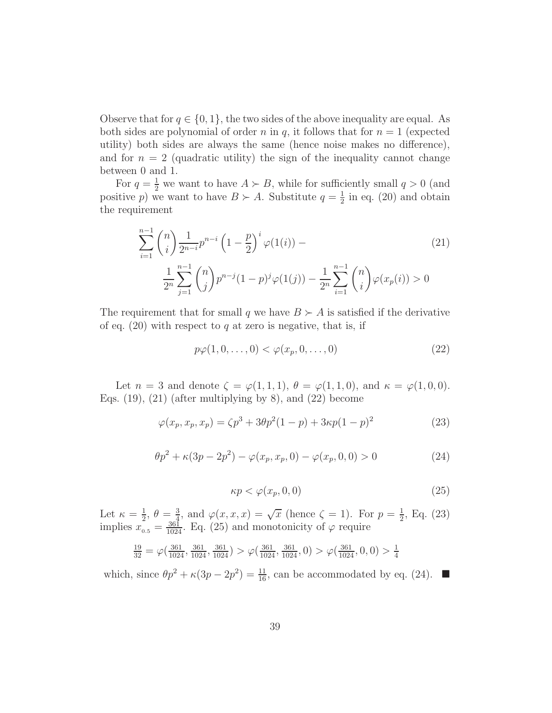Observe that for  $q \in \{0, 1\}$ , the two sides of the above inequality are equal. As both sides are polynomial of order n in q, it follows that for  $n = 1$  (expected utility) both sides are always the same (hence noise makes no difference), and for  $n = 2$  (quadratic utility) the sign of the inequality cannot change between 0 and 1.

For  $q = \frac{1}{2}$  we want to have  $A \succ B$ , while for sufficiently small  $q > 0$  (and positive p) we want to have  $B \succ A$ . Substitute  $q = \frac{1}{2}$  $\frac{1}{2}$  in eq. (20) and obtain the requirement

$$
\sum_{i=1}^{n-1} {n \choose i} \frac{1}{2^{n-i}} p^{n-i} \left(1 - \frac{p}{2}\right)^i \varphi(1(i)) -
$$
\n
$$
\frac{1}{2^n} \sum_{j=1}^{n-1} {n \choose j} p^{n-j} (1-p)^j \varphi(1(j)) - \frac{1}{2^n} \sum_{i=1}^{n-1} {n \choose i} \varphi(x_p(i)) > 0
$$
\n(21)

The requirement that for small q we have  $B \succ A$  is satisfied if the derivative of eq.  $(20)$  with respect to q at zero is negative, that is, if

$$
p\varphi(1,0,\ldots,0) < \varphi(x_p,0,\ldots,0) \tag{22}
$$

Let  $n = 3$  and denote  $\zeta = \varphi(1,1,1), \theta = \varphi(1,1,0),$  and  $\kappa = \varphi(1,0,0)$ . Eqs.  $(19)$ ,  $(21)$  (after multiplying by 8), and  $(22)$  become

$$
\varphi(x_p, x_p, x_p) = \zeta p^3 + 3\theta p^2 (1 - p) + 3\kappa p (1 - p)^2 \tag{23}
$$

$$
\theta p^2 + \kappa (3p - 2p^2) - \varphi(x_p, x_p, 0) - \varphi(x_p, 0, 0) > 0
$$
\n(24)

$$
\kappa p < \varphi(x_p, 0, 0) \tag{25}
$$

Let  $\kappa = \frac{1}{2}$  $\frac{1}{2}$ ,  $\theta = \frac{3}{4}$  $\frac{3}{4}$ , and  $\varphi(x, x, x) = \sqrt{x}$  (hence  $\zeta = 1$ ). For  $p = \frac{1}{2}$  $\frac{1}{2}$ , Eq. (23) implies  $x_{0.5} = \frac{361}{1024}$ . Eq. (25) and monotonicity of  $\varphi$  require

$$
\frac{19}{32} = \varphi(\frac{361}{1024}, \frac{361}{1024}, \frac{361}{1024}) > \varphi(\frac{361}{1024}, \frac{361}{1024}, 0) > \varphi(\frac{361}{1024}, 0, 0) > \frac{1}{4}
$$

which, since  $\theta p^2 + \kappa (3p - 2p^2) = \frac{11}{16}$ , can be accommodated by eq. (24).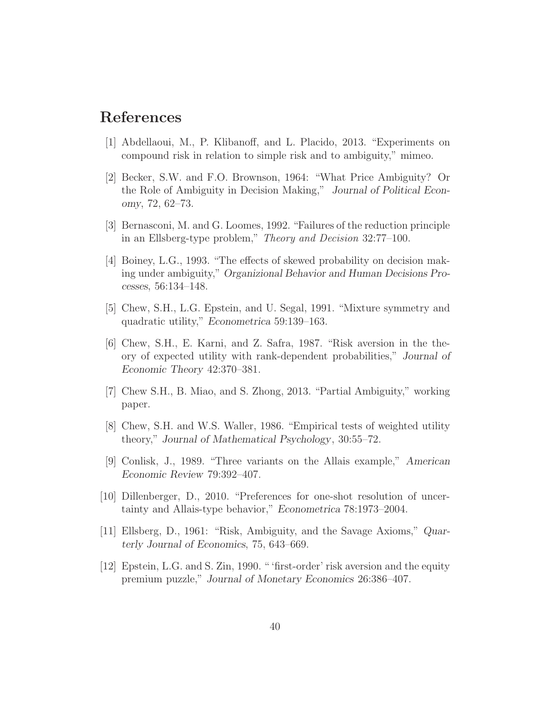# References

- [1] Abdellaoui, M., P. Klibanoff, and L. Placido, 2013. "Experiments on compound risk in relation to simple risk and to ambiguity," mimeo.
- [2] Becker, S.W. and F.O. Brownson, 1964: "What Price Ambiguity? Or the Role of Ambiguity in Decision Making," Journal of Political Economy, 72, 62–73.
- [3] Bernasconi, M. and G. Loomes, 1992. "Failures of the reduction principle in an Ellsberg-type problem," *Theory and Decision* 32:77–100.
- [4] Boiney, L.G., 1993. "The effects of skewed probability on decision making under ambiguity," Organizional Behavior and Human Decisions Processes, 56:134–148.
- [5] Chew, S.H., L.G. Epstein, and U. Segal, 1991. "Mixture symmetry and quadratic utility," Econometrica 59:139–163.
- [6] Chew, S.H., E. Karni, and Z. Safra, 1987. "Risk aversion in the theory of expected utility with rank-dependent probabilities," Journal of Economic Theory 42:370–381.
- [7] Chew S.H., B. Miao, and S. Zhong, 2013. "Partial Ambiguity," working paper.
- [8] Chew, S.H. and W.S. Waller, 1986. "Empirical tests of weighted utility theory," Journal of Mathematical Psychology, 30:55–72.
- [9] Conlisk, J., 1989. "Three variants on the Allais example," American Economic Review 79:392–407.
- [10] Dillenberger, D., 2010. "Preferences for one-shot resolution of uncertainty and Allais-type behavior," Econometrica 78:1973–2004.
- [11] Ellsberg, D., 1961: "Risk, Ambiguity, and the Savage Axioms," Quarterly Journal of Economics, 75, 643–669.
- [12] Epstein, L.G. and S. Zin, 1990. " 'first-order' risk aversion and the equity premium puzzle," Journal of Monetary Economics 26:386–407.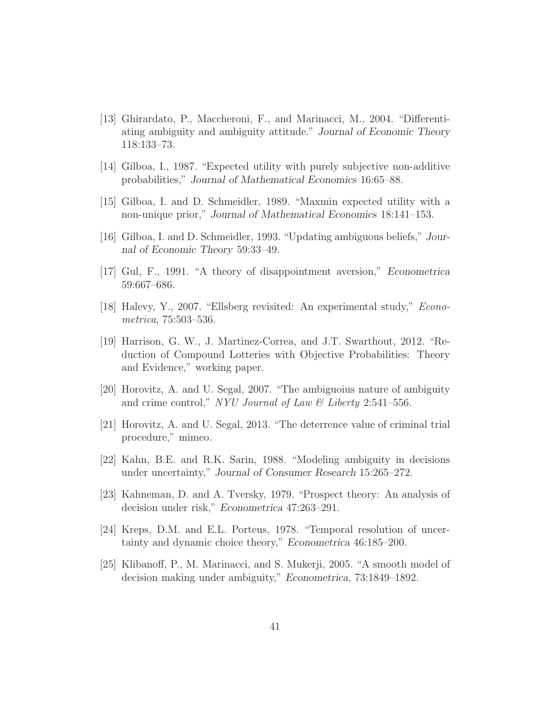- [13] Ghirardato, P., Maccheroni, F., and Marinacci, M., 2004. "Differentiating ambiguity and ambiguity attitude." Journal of Economic Theory 118:133–73.
- [14] Gilboa, I., 1987. "Expected utility with purely subjective non-additive probabilities," Journal of Mathematical Economics 16:65–88.
- [15] Gilboa, I. and D. Schmeidler, 1989. "Maxmin expected utility with a non-unique prior," Journal of Mathematical Economics 18:141–153.
- [16] Gilboa, I. and D. Schmeidler, 1993. "Updating ambiguous beliefs," Journal of Economic Theory 59:33–49.
- [17] Gul, F., 1991. "A theory of disappointment aversion," Econometrica 59:667–686.
- [18] Halevy, Y., 2007. "Ellsberg revisited: An experimental study," *Econometrica*, 75:503–536.
- [19] Harrison, G. W., J. Martinez-Correa, and J.T. Swarthout, 2012. "Reduction of Compound Lotteries with Objective Probabilities: Theory and Evidence," working paper.
- [20] Horovitz, A. and U. Segal, 2007. "The ambiguoius nature of ambiguity and crime control," *NYU Journal of Law & Liberty* 2:541–556.
- [21] Horovitz, A. and U. Segal, 2013. "The deterrence value of criminal trial procedure," mimeo.
- [22] Kahn, B.E. and R.K. Sarin, 1988. "Modeling ambiguity in decisions under uncertainty," Journal of Consumer Research 15:265–272.
- [23] Kahneman, D. and A. Tversky, 1979. "Prospect theory: An analysis of decision under risk," Econometrica 47:263–291.
- [24] Kreps, D.M. and E.L. Porteus, 1978. "Temporal resolution of uncertainty and dynamic choice theory," Econometrica 46:185–200.
- [25] Klibanoff, P., M. Marinacci, and S. Mukerji, 2005. "A smooth model of decision making under ambiguity," Econometrica, 73:1849–1892.